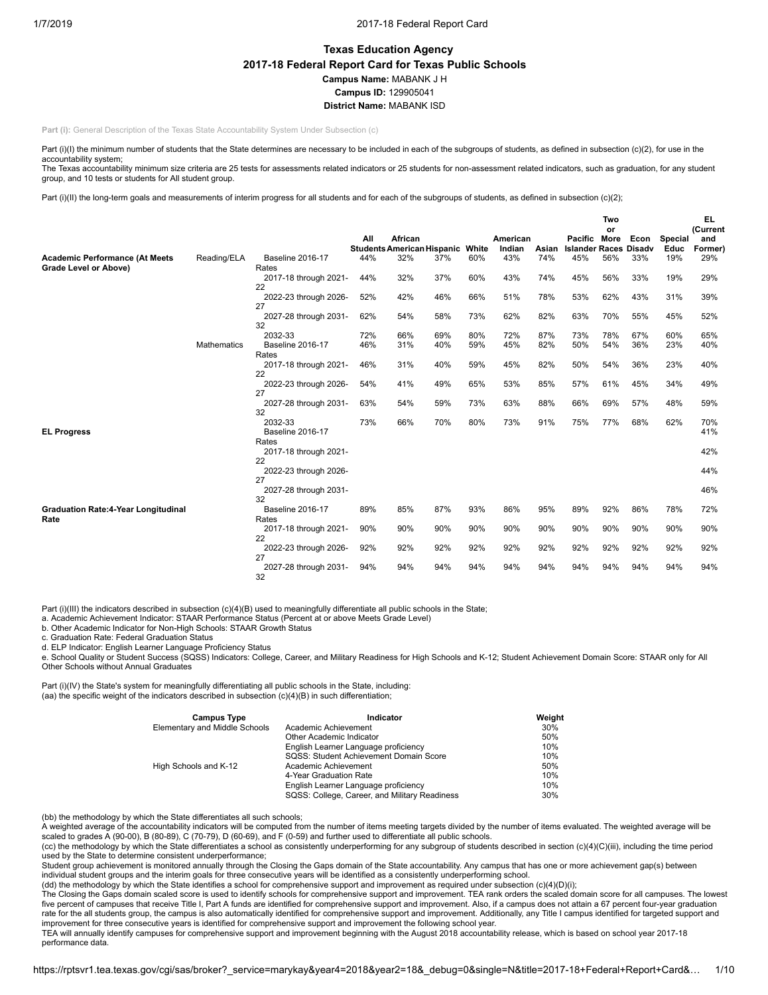# **Texas Education Agency 2017-18 Federal Report Card for Texas Public Schools Campus Name:** MABANK J H **Campus ID:** 129905041 **District Name:** MABANK ISD

**Part (i):** General Description of the Texas State Accountability System Under Subsection (c)

Part (i)(I) the minimum number of students that the State determines are necessary to be included in each of the subgroups of students, as defined in subsection (c)(2), for use in the accountability system;

The Texas accountability minimum size criteria are 25 tests for assessments related indicators or 25 students for non-assessment related indicators, such as graduation, for any student group, and 10 tests or students for All student group.

Part (i)(II) the long-term goals and measurements of interim progress for all students and for each of the subgroups of students, as defined in subsection (c)(2);

|                                            |                    |                                    |     |                                   |     |       |          |       |                              | Two<br>or |      |                | EL<br>(Current |
|--------------------------------------------|--------------------|------------------------------------|-----|-----------------------------------|-----|-------|----------|-------|------------------------------|-----------|------|----------------|----------------|
|                                            |                    |                                    | All | African                           |     |       | American |       | Pacific More                 |           | Econ | <b>Special</b> | and            |
|                                            |                    |                                    |     | <b>Students American Hispanic</b> |     | White | Indian   | Asian | <b>Islander Races Disadv</b> |           |      | Educ           | Former)        |
| <b>Academic Performance (At Meets</b>      | Reading/ELA        | <b>Baseline 2016-17</b>            | 44% | 32%                               | 37% | 60%   | 43%      | 74%   | 45%                          | 56%       | 33%  | 19%            | 29%            |
| Grade Level or Above)                      |                    | Rates                              |     |                                   |     |       |          |       |                              |           |      |                |                |
|                                            |                    | 2017-18 through 2021-              | 44% | 32%                               | 37% | 60%   | 43%      | 74%   | 45%                          | 56%       | 33%  | 19%            | 29%            |
|                                            |                    | 22                                 |     |                                   |     |       |          |       |                              |           |      |                |                |
|                                            |                    | 2022-23 through 2026-<br>27        | 52% | 42%                               | 46% | 66%   | 51%      | 78%   | 53%                          | 62%       | 43%  | 31%            | 39%            |
|                                            |                    | 2027-28 through 2031-<br>32        | 62% | 54%                               | 58% | 73%   | 62%      | 82%   | 63%                          | 70%       | 55%  | 45%            | 52%            |
|                                            |                    | 2032-33                            | 72% | 66%                               | 69% | 80%   | 72%      | 87%   | 73%                          | 78%       | 67%  | 60%            | 65%            |
|                                            | <b>Mathematics</b> | <b>Baseline 2016-17</b><br>Rates   | 46% | 31%                               | 40% | 59%   | 45%      | 82%   | 50%                          | 54%       | 36%  | 23%            | 40%            |
|                                            |                    | 2017-18 through 2021-<br>22        | 46% | 31%                               | 40% | 59%   | 45%      | 82%   | 50%                          | 54%       | 36%  | 23%            | 40%            |
|                                            |                    | 2022-23 through 2026-              | 54% | 41%                               | 49% | 65%   | 53%      | 85%   | 57%                          | 61%       | 45%  | 34%            | 49%            |
|                                            |                    | 27                                 |     |                                   |     |       |          |       |                              |           |      |                |                |
|                                            |                    | 2027-28 through 2031-              | 63% | 54%                               | 59% | 73%   | 63%      | 88%   | 66%                          | 69%       | 57%  | 48%            | 59%            |
|                                            |                    | 32                                 |     |                                   |     |       |          |       |                              |           |      |                |                |
| <b>EL Progress</b>                         |                    | 2032-33<br><b>Baseline 2016-17</b> | 73% | 66%                               | 70% | 80%   | 73%      | 91%   | 75%                          | 77%       | 68%  | 62%            | 70%<br>41%     |
|                                            |                    | Rates                              |     |                                   |     |       |          |       |                              |           |      |                |                |
|                                            |                    | 2017-18 through 2021-              |     |                                   |     |       |          |       |                              |           |      |                | 42%            |
|                                            |                    | 22<br>2022-23 through 2026-        |     |                                   |     |       |          |       |                              |           |      |                | 44%            |
|                                            |                    | 27                                 |     |                                   |     |       |          |       |                              |           |      |                |                |
|                                            |                    | 2027-28 through 2031-              |     |                                   |     |       |          |       |                              |           |      |                | 46%            |
|                                            |                    | 32                                 |     |                                   |     |       |          |       |                              |           |      |                |                |
| <b>Graduation Rate:4-Year Longitudinal</b> |                    | <b>Baseline 2016-17</b><br>Rates   | 89% | 85%                               | 87% | 93%   | 86%      | 95%   | 89%                          | 92%       | 86%  | 78%            | 72%            |
| Rate                                       |                    | 2017-18 through 2021-              | 90% | 90%                               | 90% | 90%   | 90%      | 90%   | 90%                          | 90%       | 90%  | 90%            | 90%            |
|                                            |                    | 22                                 |     |                                   |     |       |          |       |                              |           |      |                |                |
|                                            |                    | 2022-23 through 2026-              | 92% | 92%                               | 92% | 92%   | 92%      | 92%   | 92%                          | 92%       | 92%  | 92%            | 92%            |
|                                            |                    | 27                                 |     |                                   |     |       |          |       |                              |           |      |                |                |
|                                            |                    | 2027-28 through 2031-<br>32        | 94% | 94%                               | 94% | 94%   | 94%      | 94%   | 94%                          | 94%       | 94%  | 94%            | 94%            |

Part (i)(III) the indicators described in subsection (c)(4)(B) used to meaningfully differentiate all public schools in the State;

a. Academic Achievement Indicator: STAAR Performance Status (Percent at or above Meets Grade Level)

b. Other Academic Indicator for Non-High Schools: STAAR Growth Status

c. Graduation Rate: Federal Graduation Status

d. ELP Indicator: English Learner Language Proficiency Status<br>e. School Quality or Student Success (SQSS) Indicators: College, Career, and Military Readiness for High Schools and K-12; Student Achievement Domain Score: STA Other Schools without Annual Graduates

Part (i)(IV) the State's system for meaningfully differentiating all public schools in the State, including: (aa) the specific weight of the indicators described in subsection (c)(4)(B) in such differentiation;

| <b>Campus Type</b>            | Indicator                                     | Weight |
|-------------------------------|-----------------------------------------------|--------|
| Elementary and Middle Schools | Academic Achievement                          | 30%    |
|                               | Other Academic Indicator                      | 50%    |
|                               | English Learner Language proficiency          | 10%    |
|                               | SQSS: Student Achievement Domain Score        | 10%    |
| High Schools and K-12         | Academic Achievement                          | 50%    |
|                               | 4-Year Graduation Rate                        | 10%    |
|                               | English Learner Language proficiency          | 10%    |
|                               | SQSS: College, Career, and Military Readiness | 30%    |

(bb) the methodology by which the State differentiates all such schools;

A weighted average of the accountability indicators will be computed from the number of items meeting targets divided by the number of items evaluated. The weighted average will be

scaled to grades A (90-00), B (80-89), C (70-79), D (60-69), and F (0-59) and further used to differentiate all public schools. (cc) the methodology by which the State differentiates a school as consistently underperforming for any subgroup of students described in section (c)(4)(C)(iii), including the time period

used by the State to determine consistent underperformance; Student group achievement is monitored annually through the Closing the Gaps domain of the State accountability. Any campus that has one or more achievement gap(s) between individual student groups and the interim goals for three consecutive years will be identified as a consistently underperforming school.

(dd) the methodology by which the State identifies a school for comprehensive support and improvement as required under subsection (c)(4)(D)(i);

The Closing the Gaps domain scaled score is used to identify schools for comprehensive support and improvement. TEA rank orders the scaled domain score for all campuses. The lowest five percent of campuses that receive Title I, Part A funds are identified for comprehensive support and improvement. Also, if a campus does not attain a 67 percent four-year graduation rate for the all students group, the campus is also automatically identified for comprehensive support and improvement. Additionally, any Title I campus identified for targeted support and improvement for three consecutive years is identified for comprehensive support and improvement the following school year.

TEA will annually identify campuses for comprehensive support and improvement beginning with the August 2018 accountability release, which is based on school year 2017-18 performance data.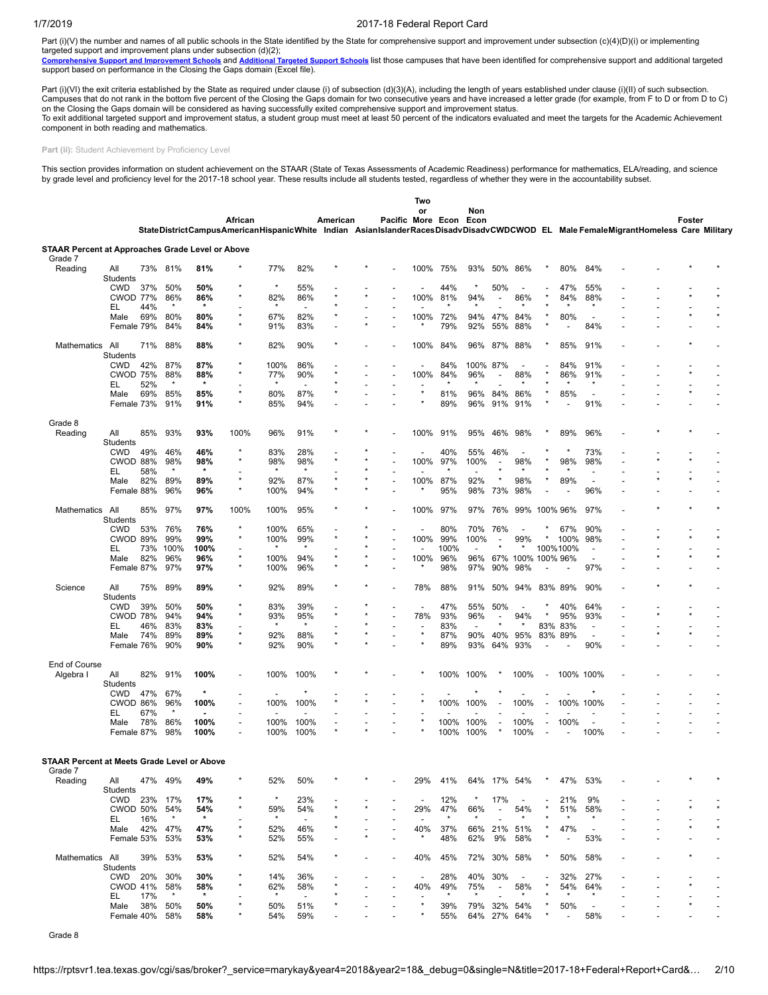Part (i)(V) the number and names of all public schools in the State identified by the State for comprehensive support and improvement under subsection (c)(4)(D)(i) or implementing

targeted support and improvement plans under subsection (d)(2);<br><mark>[Comprehensive](https://tea.texas.gov/WorkArea/DownloadAsset.aspx?id=51539624659) Support and Improvement Schools</mark> and [Additional](https://tea.texas.gov/WorkArea/DownloadAsset.aspx?id=51539624660) Targeted Support Schools list those campuses that have been identified for comprehensive suppor support based on performance in the Closing the Gaps domain (Excel file).

Part (i)(VI) the exit criteria established by the State as required under clause (i) of subsection (d)(3)(A), including the length of years established under clause (i)(II) of such subsection. Campuses that do not rank in the bottom five percent of the Closing the Gaps domain for two consecutive years and have increased a letter grade (for example, from F to D or from D to C) on the Closing the Gaps domain will be considered as having successfully exited comprehensive support and improvement status. To exit additional targeted support and improvement status, a student group must meet at least 50 percent of the indicators evaluated and meet the targets for the Academic Achievement component in both reading and mathematics.

Part (ii): Student Achievement by Proficiency Level

This section provides information on student achievement on the STAAR (State of Texas Assessments of Academic Readiness) performance for mathematics, ELA/reading, and science by grade level and proficiency level for the 2017-18 school year. These results include all students tested, regardless of whether they were in the accountability subset.

|                                                         |                       |            |                     |                |                                                                                                                                  |                 |                          |          |                        | Two                      |             |          |                               |                          |                          |                          |                                |   |         |  |
|---------------------------------------------------------|-----------------------|------------|---------------------|----------------|----------------------------------------------------------------------------------------------------------------------------------|-----------------|--------------------------|----------|------------------------|--------------------------|-------------|----------|-------------------------------|--------------------------|--------------------------|--------------------------|--------------------------------|---|---------|--|
|                                                         |                       |            |                     |                | African                                                                                                                          |                 |                          | American | Pacific More Econ Econ | or                       |             | Non      |                               |                          |                          |                          |                                |   | Foster  |  |
|                                                         |                       |            |                     |                | StateDistrictCampusAmericanHispanicWhite Indian AsianIslanderRacesDisadvDisadvCWDCWOD EL MaleFemaleMigrantHomeless Care Military |                 |                          |          |                        |                          |             |          |                               |                          |                          |                          |                                |   |         |  |
| <b>STAAR Percent at Approaches Grade Level or Above</b> |                       |            |                     |                |                                                                                                                                  |                 |                          |          |                        |                          |             |          |                               |                          |                          |                          |                                |   |         |  |
| Grade 7                                                 |                       |            |                     |                |                                                                                                                                  |                 |                          |          |                        |                          |             |          |                               |                          |                          |                          |                                |   |         |  |
| Reading                                                 | All                   | 73%        | 81%                 | 81%            |                                                                                                                                  | 77%             | 82%                      |          |                        | 100%                     | 75%         | 93%      | 50%                           | 86%                      |                          | 80%                      | 84%                            |   |         |  |
|                                                         | Students              |            |                     |                |                                                                                                                                  | $\star$         |                          |          |                        |                          |             |          |                               |                          |                          |                          |                                |   |         |  |
|                                                         | <b>CWD</b>            | 37%        | 50%                 | 50%            |                                                                                                                                  |                 | 55%                      |          |                        |                          | 44%         |          | 50%                           | $\overline{\phantom{a}}$ |                          | 47%                      | 55%                            |   |         |  |
|                                                         | CWOD 77%<br>EL        | 44%        | 86%<br>$\star$      | 86%<br>$\star$ |                                                                                                                                  | 82%<br>$\star$  | 86%<br>$\sim$            |          |                        | 100%                     | 81%<br>*    | 94%      | $\overline{\phantom{a}}$      | 86%<br>$\star$           |                          | 84%<br>$\star$           | 88%<br>$\star$                 |   |         |  |
|                                                         | Male                  | 69%        | 80%                 | 80%            |                                                                                                                                  | 67%             | 82%                      | ż        |                        | 100%                     | 72%         | 94%      | 47%                           | 84%                      |                          | 80%                      | $\overline{\phantom{a}}$       |   |         |  |
|                                                         | Female 79%            |            | 84%                 | 84%            |                                                                                                                                  | 91%             | 83%                      |          |                        |                          | 79%         | 92%      | 55%                           | 88%                      |                          |                          | 84%                            |   |         |  |
|                                                         |                       |            |                     |                |                                                                                                                                  |                 |                          |          |                        |                          |             |          |                               |                          |                          |                          |                                |   |         |  |
| Mathematics                                             | All                   | 71%        | 88%                 | 88%            |                                                                                                                                  | 82%             | 90%                      |          |                        | 100%                     | 84%         | 96%      | 87%                           | 88%                      |                          | 85%                      | 91%                            |   |         |  |
|                                                         | <b>Students</b>       |            |                     |                |                                                                                                                                  |                 |                          |          |                        |                          |             |          |                               |                          |                          |                          |                                |   |         |  |
|                                                         | <b>CWD</b>            | 42%        | 87%                 | 87%            | $\star$                                                                                                                          | 100%            | 86%                      |          |                        |                          | 84%         | 100%     | 87%                           |                          |                          | 84%                      | 91%                            |   |         |  |
|                                                         | <b>CWOD 75%</b><br>EL | 52%        | 88%<br>$\star$      | 88%<br>$\star$ |                                                                                                                                  | 77%<br>$\star$  | 90%<br>$\overline{a}$    |          |                        | 100%                     | 84%         | 96%      | $\overline{a}$                | 88%                      |                          | 86%<br>÷                 | 91%<br>$\star$                 |   |         |  |
|                                                         | Male                  | 69%        | 85%                 | 85%            | $\star$                                                                                                                          | 80%             | 87%                      |          |                        | $\star$                  | 81%         | 96%      | 84%                           | 86%                      |                          | 85%                      | ٠                              |   |         |  |
|                                                         | Female 73%            |            | 91%                 | 91%            |                                                                                                                                  | 85%             | 94%                      |          |                        |                          | 89%         | 96%      | 91%                           | 91%                      |                          |                          | 91%                            |   |         |  |
|                                                         |                       |            |                     |                |                                                                                                                                  |                 |                          |          |                        |                          |             |          |                               |                          |                          |                          |                                |   |         |  |
| Grade 8                                                 |                       |            |                     |                |                                                                                                                                  |                 |                          |          |                        |                          |             |          |                               |                          |                          |                          |                                |   |         |  |
| Reading                                                 | All                   | 85%        | 93%                 | 93%            | 100%                                                                                                                             | 96%             | 91%                      |          |                        | 100%                     | 91%         | 95%      | 46%                           | 98%                      | $\star$                  | 89%                      | 96%                            |   |         |  |
|                                                         | Students              |            |                     |                | *                                                                                                                                |                 |                          |          |                        |                          |             |          |                               |                          |                          |                          |                                |   |         |  |
|                                                         | <b>CWD</b>            | 49%        | 46%                 | 46%            | $\star$                                                                                                                          | 83%             | 28%                      | ×        |                        |                          | 40%         | 55%      | 46%                           |                          |                          |                          | 73%                            |   |         |  |
|                                                         | CWOD 88%<br>EL        | 58%        | 98%<br>${}^{\star}$ | 98%<br>$\star$ |                                                                                                                                  | 98%             | 98%<br>$\star$           |          |                        | 100%                     | 97%         | 100%     | $\overline{a}$                | 98%                      |                          | 98%                      | 98%                            |   |         |  |
|                                                         | Male                  | 82%        | 89%                 | 89%            | *                                                                                                                                | 92%             | 87%                      | ż        |                        | 100%                     | 87%         | 92%      |                               | 98%                      |                          | 89%                      | Ĭ.                             |   |         |  |
|                                                         | Female 88%            |            | 96%                 | 96%            | $\star$                                                                                                                          | 100%            | 94%                      |          |                        |                          | 95%         | 98%      | 73%                           | 98%                      |                          |                          | 96%                            |   |         |  |
|                                                         |                       |            |                     |                |                                                                                                                                  |                 |                          |          |                        |                          |             |          |                               |                          |                          |                          |                                |   |         |  |
| Mathematics All                                         |                       | 85%        | 97%                 | 97%            | 100%                                                                                                                             | 100%            | 95%                      |          |                        | 100%                     | 97%         | 97%      | 76%                           | 99%                      | 100% 96%                 |                          | 97%                            |   |         |  |
|                                                         | <b>Students</b>       |            |                     |                |                                                                                                                                  |                 |                          |          |                        |                          |             |          |                               |                          |                          |                          |                                |   |         |  |
|                                                         | <b>CWD</b>            | 53%        | 76%                 | 76%            | $\star$<br>$\star$                                                                                                               | 100%            | 65%                      | ×        |                        |                          | 80%         | 70%      | 76%                           |                          | $^{\star}$               | 67%                      | 90%                            |   |         |  |
|                                                         | <b>CWOD 89%</b><br>EL |            | 99%                 | 99%            |                                                                                                                                  | 100%<br>$\star$ | 99%<br>$\star$           |          |                        | 100%                     | 99%<br>100% | 100%     | $\overline{\phantom{a}}$<br>× | 99%<br>*                 | 100%100%                 | 100%                     | 98%                            |   |         |  |
|                                                         | Male                  | 73%<br>82% | 100%<br>96%         | 100%<br>96%    | *                                                                                                                                | 100%            | 94%                      | ż        |                        | 100%                     | 96%         | 96%      | 67%                           | 100%                     | 100% 96%                 |                          | $\overline{\phantom{a}}$<br>Ĭ. |   |         |  |
|                                                         | Female 87%            |            | 97%                 | 97%            | $\star$                                                                                                                          | 100%            | 96%                      | $\star$  |                        |                          | 98%         | 97%      | 90%                           | 98%                      |                          |                          | 97%                            |   |         |  |
|                                                         |                       |            |                     |                |                                                                                                                                  |                 |                          |          |                        |                          |             |          |                               |                          |                          |                          |                                |   |         |  |
| Science                                                 | All                   | 75%        | 89%                 | 89%            |                                                                                                                                  | 92%             | 89%                      |          |                        | 78%                      | 88%         | 91%      | 50%                           | 94%                      | 83% 89%                  |                          | 90%                            |   |         |  |
|                                                         | Students              |            |                     |                |                                                                                                                                  |                 |                          |          |                        |                          |             |          |                               |                          |                          |                          |                                |   |         |  |
|                                                         | <b>CWD</b>            | 39%        | 50%                 | 50%            | $\star$                                                                                                                          | 83%             | 39%                      | ×        |                        |                          | 47%         | 55%      | 50%                           |                          | $^\star$                 | 40%                      | 64%                            |   |         |  |
|                                                         | CWOD 78%              |            | 94%                 | 94%            |                                                                                                                                  | 93%             | 95%<br>$\star$           |          |                        | 78%                      | 93%         | 96%      | $\overline{a}$<br>÷           | 94%                      | 83% 83%                  | 95%                      | 93%                            | ÷ |         |  |
|                                                         | EL<br>Male            | 46%<br>74% | 83%<br>89%          | 83%<br>89%     |                                                                                                                                  | 92%             | 88%                      | $\star$  |                        |                          | 83%<br>87%  | 90%      | 40%                           | 95%                      | 83%                      | 89%                      | $\overline{\phantom{a}}$<br>÷, |   | $\star$ |  |
|                                                         | Female 76%            |            | 90%                 | 90%            |                                                                                                                                  | 92%             | 90%                      |          |                        |                          | 89%         | 93%      | 64%                           | 93%                      |                          |                          | 90%                            |   |         |  |
|                                                         |                       |            |                     |                |                                                                                                                                  |                 |                          |          |                        |                          |             |          |                               |                          |                          |                          |                                |   |         |  |
| End of Course                                           |                       |            |                     |                |                                                                                                                                  |                 |                          |          |                        |                          |             |          |                               |                          |                          |                          |                                |   |         |  |
| Algebra I                                               | All                   | 82%        | 91%                 | 100%           | $\overline{a}$                                                                                                                   | 100%            | 100%                     |          |                        |                          | 100%        | 100%     |                               | 100%                     | $\overline{\phantom{a}}$ |                          | 100% 100%                      |   |         |  |
|                                                         | Students              |            |                     |                |                                                                                                                                  |                 |                          |          |                        |                          |             |          |                               |                          |                          |                          |                                |   |         |  |
|                                                         | CWD                   | 47%        | 67%                 |                |                                                                                                                                  |                 |                          |          |                        |                          |             |          |                               |                          |                          |                          |                                |   |         |  |
|                                                         | CWOD 86%<br>EL        | 67%        | 96%<br>*            | 100%           |                                                                                                                                  | 100%            | 100%                     |          |                        |                          | 100%        | 100%     |                               | 100%                     |                          |                          | 100% 100%                      |   |         |  |
|                                                         | Male                  | 78%        | 86%                 | 100%           |                                                                                                                                  | 100%            | 100%                     |          |                        |                          | 100%        | 100%     |                               | 100%                     | $\overline{a}$           | 100%                     |                                |   |         |  |
|                                                         | Female 87%            |            | 98%                 | 100%           |                                                                                                                                  | 100%            | 100%                     |          |                        |                          | 100%        | 100%     | $\star$                       | 100%                     |                          |                          | 100%                           |   |         |  |
|                                                         |                       |            |                     |                |                                                                                                                                  |                 |                          |          |                        |                          |             |          |                               |                          |                          |                          |                                |   |         |  |
|                                                         |                       |            |                     |                |                                                                                                                                  |                 |                          |          |                        |                          |             |          |                               |                          |                          |                          |                                |   |         |  |
| STAAR Percent at Meets Grade Level or Above             |                       |            |                     |                |                                                                                                                                  |                 |                          |          |                        |                          |             |          |                               |                          |                          |                          |                                |   |         |  |
| Grade 7<br>Reading                                      | All                   | 47%        | 49%                 | 49%            |                                                                                                                                  | 52%             | 50%                      |          |                        | 29%                      | 41%         |          |                               | 64% 17% 54%              |                          | 47%                      | 53%                            |   |         |  |
|                                                         | Students              |            |                     |                |                                                                                                                                  |                 |                          |          |                        |                          |             |          |                               |                          |                          |                          |                                |   |         |  |
|                                                         | CWD 23%               |            | 17%                 | 17%            |                                                                                                                                  | $\star$         | 23%                      |          |                        | $\overline{\phantom{a}}$ | 12%         | $^\star$ | 17%                           | $\overline{\phantom{a}}$ |                          | 21%                      | 9%                             |   |         |  |
|                                                         | <b>CWOD 50%</b>       |            | 54%                 | 54%            |                                                                                                                                  | 59%             | 54%                      |          |                        | 29%                      | 47%         | 66%      | $\overline{\phantom{a}}$      | 54%                      |                          | 51%                      | 58%                            |   |         |  |
|                                                         | EL                    | 16%        | $^\star$            | $\star$        |                                                                                                                                  | $\star$         | $\blacksquare$           |          |                        |                          | $\star$     |          |                               | $^\star$                 |                          | $\star$                  | $\star$                        |   |         |  |
|                                                         | Male                  | 42%        | 47%                 | 47%            |                                                                                                                                  | 52%             | 46%                      | ż        |                        | 40%                      | 37%         | 66%      | 21%                           | 51%                      |                          | 47%                      | $\blacksquare$                 |   |         |  |
|                                                         | Female 53%            |            | 53%                 | 53%            | *                                                                                                                                | 52%             | 55%                      |          |                        | $\star$                  | 48%         | 62%      | 9%                            | 58%                      |                          | $\overline{\phantom{a}}$ | 53%                            |   |         |  |
| Mathematics All                                         |                       | 39%        | 53%                 |                | $^\star$                                                                                                                         | 52%             | 54%                      |          |                        | 40%                      | 45%         |          |                               | 30% 58%                  |                          | 50%                      | 58%                            |   |         |  |
|                                                         | Students              |            |                     | 53%            |                                                                                                                                  |                 |                          |          |                        |                          |             | 72%      |                               |                          |                          |                          |                                |   |         |  |
|                                                         | CWD                   | 20%        | 30%                 | 30%            |                                                                                                                                  | 14%             | 36%                      |          |                        | $\overline{\phantom{a}}$ | 28%         | 40%      | 30%                           | $\overline{\phantom{a}}$ |                          | 32%                      | 27%                            |   |         |  |
|                                                         | CWOD 41%              |            | 58%                 | 58%            |                                                                                                                                  | 62%             | 58%                      |          |                        | 40%                      | 49%         | 75%      | $\overline{\phantom{a}}$      | 58%                      |                          | 54%                      | 64%                            |   |         |  |
|                                                         | EL                    | 17%        | $\star$             | $\star$        |                                                                                                                                  | $\star$         | $\overline{\phantom{a}}$ |          |                        |                          |             |          |                               |                          |                          |                          | $\star$                        |   |         |  |
|                                                         | Male                  | 38%        | 50%                 | 50%            |                                                                                                                                  | 50%             | 51%                      |          |                        | $\star$                  | 39%         | 79%      | 32%                           | 54%                      |                          | 50%                      | $\overline{\phantom{a}}$       |   |         |  |
|                                                         | Female 40%            |            | 58%                 | 58%            |                                                                                                                                  | 54%             | 59%                      |          |                        |                          | 55%         |          |                               | 64% 27% 64%              |                          |                          | 58%                            |   |         |  |

Grade 8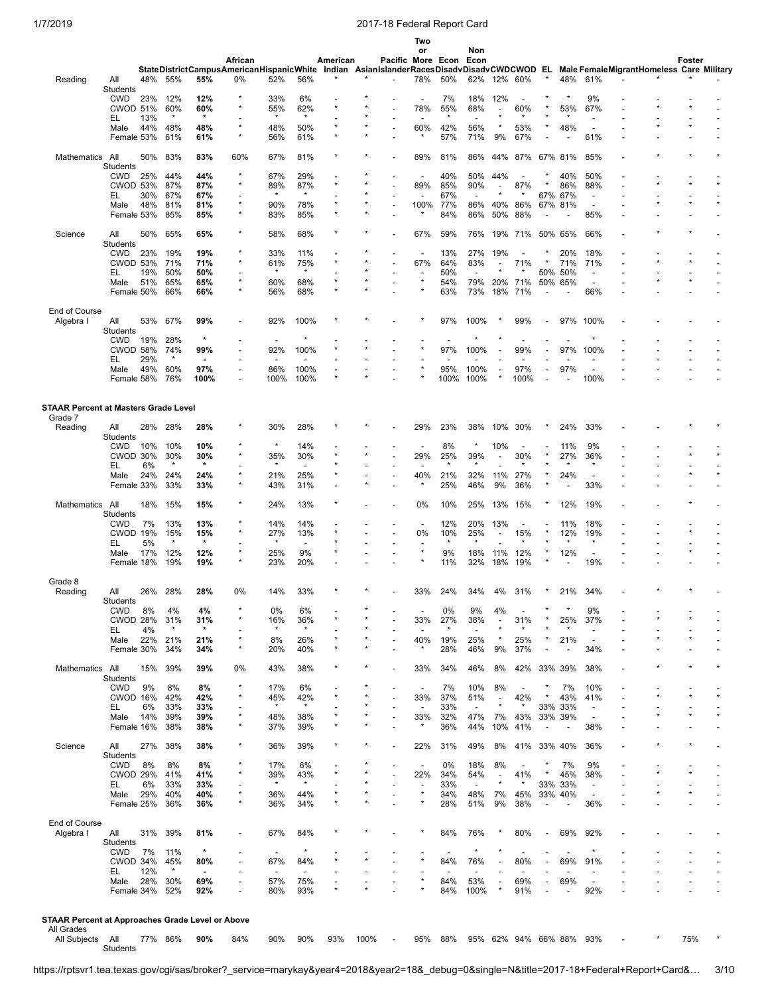|                                                         |                        |            |                 |                |                                          |                          |                                 |          |         |                   | Two<br>or                           |                | Non                      |                                     |                          |                          |                |                                 |                                                                                          |        |  |
|---------------------------------------------------------|------------------------|------------|-----------------|----------------|------------------------------------------|--------------------------|---------------------------------|----------|---------|-------------------|-------------------------------------|----------------|--------------------------|-------------------------------------|--------------------------|--------------------------|----------------|---------------------------------|------------------------------------------------------------------------------------------|--------|--|
|                                                         |                        |            |                 |                | African                                  |                          |                                 | American |         | Pacific More Econ |                                     |                | Econ                     |                                     |                          |                          |                |                                 |                                                                                          | Foster |  |
|                                                         |                        |            |                 |                | StateDistrictCampusAmericanHispanicWhite |                          |                                 |          |         |                   |                                     |                |                          |                                     |                          |                          |                |                                 | Indian AsianIslanderRacesDisadvDisadvCWDCWOD EL Male FemaleMigrantHomeless Care Military |        |  |
| Reading                                                 | All<br>Students        | 48%        | 55%             | 55%            | 0%                                       | 52%                      | 56%                             |          |         |                   | 78%                                 | 50%            | 62%                      | 12%                                 | 60%                      | $\star$                  | 48%            | 61%                             |                                                                                          |        |  |
|                                                         | <b>CWD</b>             | 23%        | 12%             | 12%            |                                          | 33%                      | 6%                              |          |         |                   | $\overline{a}$                      | 7%             | 18%                      | 12%                                 | $\overline{\phantom{a}}$ |                          |                | 9%                              |                                                                                          |        |  |
|                                                         | <b>CWOD 51%</b>        |            | 60%             | 60%            |                                          | 55%                      | 62%                             | $\star$  |         |                   | 78%                                 | 55%            | 68%                      |                                     | 60%                      |                          | 53%            | 67%                             |                                                                                          |        |  |
|                                                         | EL<br>Male             | 13%<br>44% | $^\star$<br>48% | $\star$<br>48% | $\star$                                  | $\star$<br>48%           | $\star$<br>50%                  | $\star$  |         |                   | 60%                                 | $\star$<br>42% | 56%                      |                                     | 53%                      |                          | 48%            | Ĭ.                              |                                                                                          |        |  |
|                                                         | Female 53%             |            | 61%             | 61%            |                                          | 56%                      | 61%                             |          |         |                   |                                     | 57%            | 71%                      | 9%                                  | 67%                      |                          |                | 61%                             |                                                                                          |        |  |
|                                                         |                        |            |                 |                |                                          |                          |                                 |          |         |                   |                                     |                |                          |                                     |                          |                          |                |                                 |                                                                                          |        |  |
| Mathematics                                             | All                    | 50%        | 83%             | 83%            | 60%                                      | 87%                      | 81%                             |          |         |                   | 89%                                 | 81%            | 86%                      | 44%                                 | 87%                      | 67%                      | 81%            | 85%                             |                                                                                          |        |  |
|                                                         | Students<br><b>CWD</b> | 25%        | 44%             | 44%            | ×                                        | 67%                      | 29%                             |          |         |                   | $\overline{\phantom{a}}$            | 40%            | 50%                      | 44%                                 | $\overline{\phantom{a}}$ |                          | 40%            | 50%                             |                                                                                          |        |  |
|                                                         | <b>CWOD 53%</b>        |            | 87%             | 87%            | $\star$                                  | 89%                      | 87%                             | $\star$  |         |                   | 89%                                 | 85%            | 90%                      | $\overline{\phantom{a}}$            | 87%                      |                          | 86%            | 88%                             |                                                                                          |        |  |
|                                                         | EL                     | 30%        | 67%             | 67%            |                                          | $\star$                  | $\star$                         |          |         |                   | ÷                                   | 67%            |                          |                                     |                          | 67%                      | 67%            | $\overline{\phantom{a}}$        |                                                                                          |        |  |
|                                                         | Male                   | 48%        | 81%             | 81%            |                                          | 90%                      | 78%                             |          |         |                   | 100%                                | 77%            | 86%                      | 40%                                 | 86%                      |                          | 67% 81%        | ÷,                              |                                                                                          |        |  |
|                                                         | Female 53%             |            | 85%             | 85%            |                                          | 83%                      | 85%                             |          |         |                   |                                     | 84%            | 86%                      | 50%                                 | 88%                      |                          |                | 85%                             |                                                                                          |        |  |
| Science                                                 | All                    | 50%        | 65%             | 65%            |                                          | 58%                      | 68%                             |          |         |                   | 67%                                 | 59%            | 76%                      |                                     | 19% 71%                  |                          | 50% 65%        | 66%                             |                                                                                          |        |  |
|                                                         | <b>Students</b>        |            |                 |                |                                          |                          |                                 |          |         |                   |                                     |                |                          |                                     |                          |                          |                |                                 |                                                                                          |        |  |
|                                                         | <b>CWD</b>             | 23%        | 19%             | 19%            | ×                                        | 33%                      | 11%                             |          |         |                   | $\overline{\phantom{a}}$            | 13%            | 27%                      | 19%                                 | $\overline{\phantom{a}}$ | *                        | 20%            | 18%                             |                                                                                          |        |  |
|                                                         | <b>CWOD 53%</b><br>EL  | 19%        | 71%<br>50%      | 71%<br>50%     |                                          | 61%<br>$\star$           | 75%                             |          |         |                   | 67%<br>$\overline{a}$               | 64%<br>50%     | 83%                      |                                     | 71%                      | 50%                      | 71%<br>50%     | 71%<br>$\overline{\phantom{a}}$ |                                                                                          |        |  |
|                                                         | Male                   | 51%        | 65%             | 65%            |                                          | 60%                      | 68%                             |          |         |                   | ×                                   | 54%            | 79%                      | 20%                                 | 71%                      | 50%                      | 65%            | $\overline{\phantom{a}}$        |                                                                                          |        |  |
|                                                         | Female 50%             |            | 66%             | 66%            |                                          | 56%                      | 68%                             |          |         |                   |                                     | 63%            | 73%                      | 18%                                 | 71%                      |                          |                | 66%                             |                                                                                          |        |  |
|                                                         |                        |            |                 |                |                                          |                          |                                 |          |         |                   |                                     |                |                          |                                     |                          |                          |                |                                 |                                                                                          |        |  |
| End of Course                                           | All                    | 53%        | 67%             | 99%            |                                          | 92%                      | 100%                            |          |         |                   |                                     | 97%            | 100%                     |                                     | 99%                      | $\overline{a}$           | 97%            | 100%                            |                                                                                          |        |  |
| Algebra I                                               | Students               |            |                 |                |                                          |                          |                                 |          |         |                   |                                     |                |                          |                                     |                          |                          |                |                                 |                                                                                          |        |  |
|                                                         | <b>CWD</b>             | 19%        | 28%             |                |                                          |                          |                                 |          |         |                   |                                     |                |                          |                                     |                          |                          |                |                                 |                                                                                          |        |  |
|                                                         | CWOD 58%               |            | 74%<br>$\star$  | 99%            |                                          | 92%                      | 100%                            |          |         |                   |                                     | 97%            | 100%                     |                                     | 99%                      |                          | 97%            | 100%                            |                                                                                          |        |  |
|                                                         | EL<br>Male             | 29%<br>49% |                 |                |                                          | 86%                      |                                 |          |         |                   | $\star$                             |                |                          |                                     |                          |                          | 97%            | ÷,                              |                                                                                          |        |  |
|                                                         | Female 58%             |            | 60%<br>76%      | 97%<br>100%    |                                          | 100%                     | 100%<br>100%                    |          |         |                   |                                     | 95%<br>100%    | 100%<br>100%             |                                     | 97%<br>100%              |                          |                | 100%                            |                                                                                          |        |  |
|                                                         |                        |            |                 |                |                                          |                          |                                 |          |         |                   |                                     |                |                          |                                     |                          |                          |                |                                 |                                                                                          |        |  |
|                                                         |                        |            |                 |                |                                          |                          |                                 |          |         |                   |                                     |                |                          |                                     |                          |                          |                |                                 |                                                                                          |        |  |
| <b>STAAR Percent at Masters Grade Level</b><br>Grade 7  |                        |            |                 |                |                                          |                          |                                 |          |         |                   |                                     |                |                          |                                     |                          |                          |                |                                 |                                                                                          |        |  |
| Reading                                                 | All                    | 28%        | 28%             | 28%            |                                          | 30%                      | 28%                             |          |         |                   | 29%                                 | 23%            | 38%                      | 10%                                 | 30%                      |                          | 24%            | 33%                             |                                                                                          |        |  |
|                                                         | Students               |            |                 |                |                                          |                          |                                 |          |         |                   |                                     |                |                          |                                     |                          |                          |                |                                 |                                                                                          |        |  |
|                                                         | <b>CWD</b>             | 10%        | 10%             | 10%            |                                          | $\star$                  | 14%                             |          |         |                   | $\overline{\phantom{a}}$            | 8%             |                          | 10%                                 | $\overline{\phantom{a}}$ |                          | 11%            | 9%                              |                                                                                          |        |  |
|                                                         | CWOD 30%<br>EL         | 6%         | 30%<br>$\star$  | 30%<br>$\star$ |                                          | 35%<br>÷                 | 30%<br>$\overline{\phantom{a}}$ |          |         |                   | 29%                                 | 25%<br>÷       | 39%                      | $\overline{\phantom{a}}$            | 30%                      |                          | 27%            | 36%<br>$\star$                  |                                                                                          |        |  |
|                                                         | Male                   | 24%        | 24%             | 24%            |                                          | 21%                      | 25%                             |          |         |                   | 40%                                 | 21%            | 32%                      | 11%                                 | 27%                      |                          | 24%            | $\overline{\phantom{a}}$        |                                                                                          |        |  |
|                                                         | Female 33%             |            | 33%             | 33%            |                                          | 43%                      | 31%                             |          |         |                   | $\star$                             | 25%            | 46%                      | 9%                                  | 36%                      |                          |                | 33%                             |                                                                                          |        |  |
|                                                         |                        |            |                 |                |                                          |                          |                                 |          |         |                   |                                     |                |                          |                                     |                          |                          |                |                                 |                                                                                          |        |  |
| Mathematics                                             | All<br><b>Students</b> | 18%        | 15%             | 15%            |                                          | 24%                      | 13%                             |          |         |                   | 0%                                  | 10%            | 25%                      | 13%                                 | 15%                      |                          | 12%            | 19%                             |                                                                                          |        |  |
|                                                         | <b>CWD</b>             | 7%         | 13%             | 13%            |                                          | 14%                      | 14%                             |          |         |                   | $\overline{\phantom{a}}$            | 12%            | 20%                      | 13%                                 |                          |                          | 11%            | 18%                             |                                                                                          |        |  |
|                                                         | CWOD 19%               |            | 15%             | 15%            |                                          | 27%                      | 13%                             |          |         |                   | 0%                                  | 10%            | 25%                      | $\overline{\phantom{a}}$            | 15%                      |                          | 12%            | 19%                             |                                                                                          |        |  |
|                                                         | EL                     | 5%         |                 | $\star$        |                                          | $\star$                  | $\sim$                          |          |         |                   |                                     |                |                          |                                     |                          |                          |                |                                 |                                                                                          |        |  |
|                                                         | Male<br>Female 18%     | 17%        | 12%<br>19%      | 12%<br>19%     | $\star$                                  | 25%<br>23%               | 9%<br>20%                       |          |         |                   | ×                                   | 9%<br>11%      | 18%<br>32%               | 11%<br>18%                          | 12%<br>19%               |                          | 12%            | ÷,<br>19%                       |                                                                                          |        |  |
|                                                         |                        |            |                 |                |                                          |                          |                                 |          |         |                   |                                     |                |                          |                                     |                          |                          |                |                                 |                                                                                          |        |  |
| Grade 8                                                 |                        |            |                 |                |                                          |                          |                                 |          |         |                   |                                     |                |                          |                                     |                          |                          |                |                                 |                                                                                          |        |  |
| Reading                                                 | All                    | 26%        | 28%             | 28%            | 0%                                       | 14%                      | 33%                             |          |         |                   | 33%                                 | 24%            | 34%                      | 4%                                  | 31%                      |                          | 21%            | 34%                             |                                                                                          |        |  |
|                                                         | Students<br><b>CWD</b> | 8%         | 4%              | 4%             |                                          | 0%                       | 6%                              |          |         |                   | $\overline{\phantom{a}}$            | 0%             | 9%                       | 4%                                  |                          |                          |                | 9%                              |                                                                                          |        |  |
|                                                         | <b>CWOD 28%</b>        |            | 31%             | 31%            |                                          | 16%                      | 36%                             |          |         |                   | 33%                                 | 27%            | 38%                      |                                     | 31%                      |                          | 25%            | 37%                             |                                                                                          |        |  |
|                                                         | EL                     | 4%         | $\star$         | $\star$        |                                          | $\star$                  | $\star$                         |          |         |                   |                                     | $\star$        |                          |                                     |                          |                          |                |                                 |                                                                                          |        |  |
|                                                         | Male                   | 22%        | 21%             | 21%            | $\star$                                  | 8%                       | 26%                             | $\star$  |         |                   | 40%                                 | 19%            | 25%                      | $\star$                             | 25%                      | $\star$                  | 21%            | ÷,                              |                                                                                          |        |  |
|                                                         | Female 30%             |            | 34%             | 34%            |                                          | 20%                      | 40%                             |          |         |                   |                                     | 28%            | 46%                      | 9%                                  | 37%                      | $\overline{a}$           | ÷,             | 34%                             |                                                                                          |        |  |
| Mathematics All                                         |                        | 15%        | 39%             | 39%            | 0%                                       | 43%                      | 38%                             | $\star$  |         |                   | 33%                                 | 34%            | 46%                      | 8%                                  | 42%                      |                          | 33% 39%        | 38%                             |                                                                                          |        |  |
|                                                         | Students               |            |                 |                |                                          |                          |                                 |          |         |                   |                                     |                |                          |                                     |                          |                          |                |                                 |                                                                                          |        |  |
|                                                         | <b>CWD</b>             | 9%         | 8%              | 8%             | ×                                        | 17%                      | 6%                              | $\star$  |         |                   | $\overline{\phantom{a}}$            | 7%             | 10%                      | 8%                                  | $\overline{\phantom{a}}$ | $\star$                  | 7%             | 10%                             |                                                                                          |        |  |
|                                                         | CWOD 16%<br>EL         | 6%         | 42%<br>33%      | 42%<br>33%     |                                          | 45%                      | 42%                             |          |         |                   | 33%<br>$\blacksquare$               | 37%<br>33%     | 51%<br>$\blacksquare$    | $\overline{\phantom{a}}$<br>$\star$ | 42%                      |                          | 43%<br>33% 33% | 41%<br>$\overline{\phantom{a}}$ |                                                                                          |        |  |
|                                                         | Male                   | 14%        | 39%             | 39%            |                                          | 48%                      | 38%                             |          |         |                   | 33%                                 | 32%            | 47%                      | 7%                                  | 43%                      |                          | 33% 39%        | $\overline{\phantom{a}}$        |                                                                                          |        |  |
|                                                         | Female 16%             |            | 38%             | 38%            |                                          | 37%                      | 39%                             | $\star$  |         |                   | $\star$                             | 36%            | 44%                      | 10%                                 | 41%                      | $\overline{a}$           |                | 38%                             |                                                                                          |        |  |
| Science                                                 | All                    | 27%        | 38%             |                | $^\star$                                 | 36%                      | 39%                             | $\star$  |         |                   | 22%                                 | 31%            | 49%                      | 8%                                  |                          |                          | 33% 40%        | 36%                             |                                                                                          |        |  |
|                                                         | <b>Students</b>        |            |                 | 38%            |                                          |                          |                                 |          |         |                   |                                     |                |                          |                                     | 41%                      |                          |                |                                 |                                                                                          |        |  |
|                                                         | <b>CWD</b>             | 8%         | 8%              | 8%             |                                          | 17%                      | 6%                              |          |         |                   | $\overline{\phantom{a}}$            | 0%             | 18%                      | 8%                                  | $\overline{\phantom{a}}$ | $^\star$                 | 7%             | 9%                              |                                                                                          |        |  |
|                                                         | <b>CWOD 29%</b>        |            | 41%             | 41%            | ×                                        | 39%                      | 43%                             | $\star$  | $\star$ |                   | 22%                                 | 34%            | 54%                      | $\overline{\phantom{a}}$            | 41%                      | $\star$                  | 45%            | 38%                             |                                                                                          |        |  |
|                                                         | EL                     | 6%         | 33%             | 33%            |                                          | $\star$                  | $\star$                         |          |         |                   | $\overline{\phantom{a}}$<br>$\star$ | 33%            | $\overline{\phantom{a}}$ |                                     |                          | 33%                      | 33%            | $\overline{\phantom{a}}$        |                                                                                          |        |  |
|                                                         | Male<br>Female 25%     | 29%        | 40%<br>36%      | 40%<br>36%     |                                          | 36%<br>36%               | 44%<br>34%                      | $\star$  |         |                   | ×                                   | 34%<br>28%     | 48%<br>51%               | 7%<br>9%                            | 45%<br>38%               | 33%<br>$\overline{a}$    | 40%<br>÷,      | $\overline{\phantom{a}}$<br>36% |                                                                                          |        |  |
|                                                         |                        |            |                 |                |                                          |                          |                                 |          |         |                   |                                     |                |                          |                                     |                          |                          |                |                                 |                                                                                          |        |  |
| End of Course                                           |                        |            |                 |                |                                          |                          |                                 |          |         |                   |                                     |                |                          |                                     |                          |                          |                |                                 |                                                                                          |        |  |
| Algebra I                                               | All<br><b>Students</b> | 31%        | 39%             | 81%            | $\overline{\phantom{a}}$                 | 67%                      | 84%                             | $\star$  |         |                   | ×                                   | 84%            | 76%                      |                                     | 80%                      | $\overline{\phantom{a}}$ | 69%            | 92%                             |                                                                                          |        |  |
|                                                         | <b>CWD</b>             | 7%         | 11%             | $\star$        |                                          | $\blacksquare$           | $\star$                         |          |         |                   |                                     |                |                          |                                     |                          |                          |                | $\star$                         |                                                                                          |        |  |
|                                                         | CWOD 34%               |            | 45%             | 80%            |                                          | 67%                      | 84%                             |          |         |                   |                                     | 84%            | 76%                      |                                     | 80%                      |                          | 69%            | 91%                             |                                                                                          |        |  |
|                                                         | EL                     | 12%        | $\star$         | ٠              |                                          | $\overline{\phantom{a}}$ | $\blacksquare$                  |          |         |                   | $\star$                             |                |                          |                                     |                          |                          |                | ÷                               |                                                                                          |        |  |
|                                                         | Male<br>Female 34%     | 28%        | 30%<br>52%      | 69%<br>92%     |                                          | 57%<br>80%               | 75%<br>93%                      |          |         |                   |                                     | 84%<br>84%     | 53%<br>100%              |                                     | 69%<br>91%               | $\overline{a}$           | 69%            | $\overline{\phantom{a}}$<br>92% |                                                                                          |        |  |
|                                                         |                        |            |                 |                |                                          |                          |                                 |          |         |                   |                                     |                |                          |                                     |                          |                          |                |                                 |                                                                                          |        |  |
|                                                         |                        |            |                 |                |                                          |                          |                                 |          |         |                   |                                     |                |                          |                                     |                          |                          |                |                                 |                                                                                          |        |  |
| <b>STAAR Percent at Approaches Grade Level or Above</b> |                        |            |                 |                |                                          |                          |                                 |          |         |                   |                                     |                |                          |                                     |                          |                          |                |                                 |                                                                                          |        |  |
| All Grades<br>All Subjects                              | All                    |            | 77% 86%         | 90%            | 84%                                      | 90%                      | 90%                             | 93%      | 100%    |                   | 95%                                 | 88%            |                          |                                     | 95% 62% 94% 66% 88%      |                          |                | 93%                             |                                                                                          | 75%    |  |
|                                                         | <b>Students</b>        |            |                 |                |                                          |                          |                                 |          |         |                   |                                     |                |                          |                                     |                          |                          |                |                                 |                                                                                          |        |  |
|                                                         |                        |            |                 |                |                                          |                          |                                 |          |         |                   |                                     |                |                          |                                     |                          |                          |                |                                 |                                                                                          |        |  |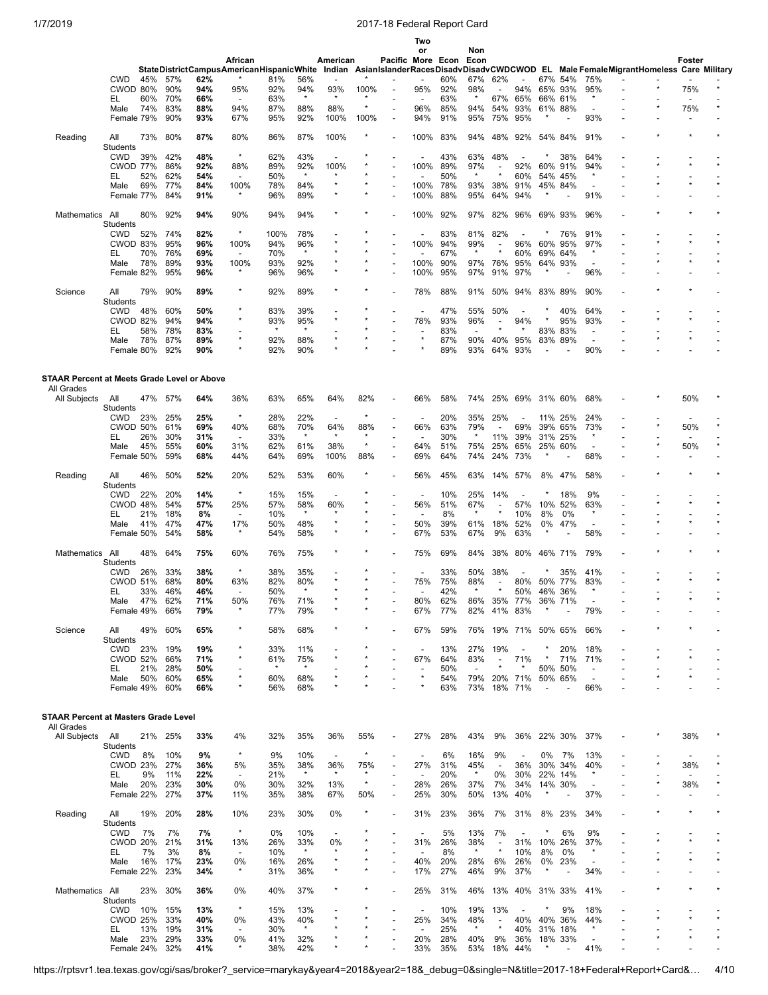|                                                           |                        |            |            |            |                                          |                |                |                          |                    |                   | Two                             |            |                |                                |                          |                                     |                          |                                                      |                                                                                          |                                 |  |
|-----------------------------------------------------------|------------------------|------------|------------|------------|------------------------------------------|----------------|----------------|--------------------------|--------------------|-------------------|---------------------------------|------------|----------------|--------------------------------|--------------------------|-------------------------------------|--------------------------|------------------------------------------------------|------------------------------------------------------------------------------------------|---------------------------------|--|
|                                                           |                        |            |            |            | African                                  |                |                | American                 |                    | Pacific More Econ | or                              |            | Non<br>Econ    |                                |                          |                                     |                          |                                                      |                                                                                          | Foster                          |  |
|                                                           |                        |            |            |            | StateDistrictCampusAmericanHispanicWhite |                |                |                          |                    |                   |                                 |            |                |                                |                          |                                     |                          |                                                      | Indian AsianIslanderRacesDisadvDisadvCWDCWOD EL Male FemaleMigrantHomeless Care Military |                                 |  |
|                                                           | <b>CWD</b>             | 45%        | 57%        | 62%        |                                          | 81%            | 56%            |                          |                    |                   |                                 | 60%        | 67%            | 62%                            |                          | 67%                                 | 54%                      | 75%                                                  |                                                                                          |                                 |  |
|                                                           | CWOD 80%               |            | 90%        | 94%        | 95%<br>$\overline{a}$                    | 92%            | 94%<br>$\star$ | 93%<br>$\star$           | 100%               |                   | 95%                             | 92%        | 98%            |                                | 94%                      | 65%                                 | 93%                      | 95%<br>$\star$                                       |                                                                                          | 75%                             |  |
|                                                           | EL<br>Male             | 60%<br>74% | 70%<br>83% | 66%<br>88% | 94%                                      | 63%<br>87%     | 88%            | 88%                      |                    |                   | 96%                             | 63%<br>85% | 94%            | 67%<br>54%                     | 65%<br>93%               | 66%<br>61% 88%                      | 61%                      | $\overline{\phantom{a}}$                             |                                                                                          | 75%                             |  |
|                                                           | Female 79%             |            | 90%        | 93%        | 67%                                      | 95%            | 92%            | 100%                     | 100%               |                   | 94%                             | 91%        | 95%            | 75%                            | 95%                      |                                     |                          | 93%                                                  |                                                                                          |                                 |  |
|                                                           |                        |            |            |            |                                          |                |                |                          |                    |                   |                                 |            |                |                                |                          |                                     |                          |                                                      |                                                                                          |                                 |  |
| Reading                                                   | All                    | 73%        | 80%        | 87%        | 80%                                      | 86%            | 87%            | 100%                     |                    |                   | 100%                            | 83%        | 94%            | 48%                            | 92%                      | 54%                                 | 84%                      | 91%                                                  |                                                                                          |                                 |  |
|                                                           | Students<br><b>CWD</b> | 39%        | 42%        | 48%        | $\star$                                  | 62%            | 43%            |                          |                    |                   |                                 | 43%        | 63%            | 48%                            |                          |                                     | 38%                      | 64%                                                  |                                                                                          |                                 |  |
|                                                           | CWOD 77%               |            | 86%        | 92%        | 88%                                      | 89%            | 92%            | 100%                     |                    |                   | 100%                            | 89%        | 97%            |                                | 92%                      | 60% 91%                             |                          | 94%                                                  |                                                                                          |                                 |  |
|                                                           | EL                     | 52%        | 62%        | 54%        | $\overline{a}$                           | 50%            | $\star$        |                          |                    |                   | $\overline{a}$                  | 50%        | $\star$        |                                | 60%                      | 54%                                 | 45%                      | $\star$                                              |                                                                                          |                                 |  |
|                                                           | Male                   | 69%        | 77%        | 84%        | 100%                                     | 78%            | 84%            |                          |                    |                   | 100%                            | 78%        | 93%            | 38%                            | 91%                      | 45% 84%                             |                          | $\overline{\phantom{a}}$                             |                                                                                          |                                 |  |
|                                                           | Female 77%             |            | 84%        | 91%        | $\star$                                  | 96%            | 89%            |                          |                    |                   | 100%                            | 88%        | 95%            | 64%                            | 94%                      |                                     |                          | 91%                                                  |                                                                                          |                                 |  |
| Mathematics                                               | All                    | 80%        | 92%        | 94%        | 90%                                      | 94%            | 94%            |                          |                    |                   | 100%                            | 92%        | 97%            | 82%                            | 96%                      | 69%                                 | 93%                      | 96%                                                  |                                                                                          |                                 |  |
|                                                           | <b>Students</b>        |            |            |            |                                          |                |                |                          |                    |                   |                                 |            |                |                                |                          |                                     |                          |                                                      |                                                                                          |                                 |  |
|                                                           | <b>CWD</b>             | 52%        | 74%        | 82%        | $\star$                                  | 100%           | 78%            |                          |                    |                   |                                 | 83%        | 81%            | 82%                            |                          |                                     | 76%                      | 91%                                                  |                                                                                          |                                 |  |
|                                                           | CWOD 83%               |            | 95%        | 96%        | 100%                                     | 94%            | 96%            |                          |                    |                   | 100%                            | 94%        | 99%            | $\overline{a}$                 | 96%                      | 60%                                 | 95%                      | 97%                                                  |                                                                                          |                                 |  |
|                                                           | EL                     | 70%        | 76%        | 69%        | $\overline{a}$                           | 70%            | $\star$        |                          |                    |                   |                                 | 67%        | $\star$        |                                | 60%                      | 69%                                 | 64%                      | $\star$                                              |                                                                                          |                                 |  |
|                                                           | Male<br>Female 82%     | 78%        | 89%<br>95% | 93%<br>96% | 100%<br>$\star$                          | 93%<br>96%     | 92%<br>96%     |                          |                    |                   | 100%<br>100%                    | 90%<br>95% | 97%<br>97%     | 76%<br>91%                     | 95%<br>97%               | 64% 93%                             |                          | ÷<br>96%                                             |                                                                                          |                                 |  |
|                                                           |                        |            |            |            |                                          |                |                |                          |                    |                   |                                 |            |                |                                |                          |                                     |                          |                                                      |                                                                                          |                                 |  |
| Science                                                   | All                    | 79%        | 90%        | 89%        |                                          | 92%            | 89%            |                          |                    |                   | 78%                             | 88%        | 91%            | 50%                            | 94%                      | 83% 89%                             |                          | 90%                                                  |                                                                                          |                                 |  |
|                                                           | <b>Students</b>        |            |            |            |                                          |                |                |                          |                    |                   |                                 |            |                |                                |                          |                                     |                          |                                                      |                                                                                          |                                 |  |
|                                                           | <b>CWD</b>             | 48%        | 60%        | 50%        |                                          | 83%            | 39%            |                          |                    |                   | $\overline{\phantom{a}}$        | 47%        | 55%            | 50%                            | $\overline{\phantom{a}}$ |                                     | 40%                      | 64%                                                  |                                                                                          |                                 |  |
|                                                           | CWOD 82%               |            | 94%        | 94%        |                                          | 93%<br>$\star$ | 95%<br>$\star$ |                          |                    |                   | 78%                             | 93%        | 96%<br>÷,      |                                | 94%                      |                                     | 95%                      | 93%                                                  |                                                                                          |                                 |  |
|                                                           | EL<br>Male             | 58%<br>78% | 78%<br>87% | 83%<br>89% |                                          | 92%            | 88%            |                          |                    |                   |                                 | 83%<br>87% | 90%            | 40%                            | 95%                      | 83%<br>83%                          | 83%<br>89%               | $\overline{\phantom{a}}$<br>$\overline{\phantom{a}}$ |                                                                                          |                                 |  |
|                                                           | Female 80%             |            | 92%        | 90%        |                                          | 92%            | 90%            |                          |                    |                   |                                 | 89%        | 93%            | 64%                            | 93%                      |                                     |                          | 90%                                                  |                                                                                          |                                 |  |
|                                                           |                        |            |            |            |                                          |                |                |                          |                    |                   |                                 |            |                |                                |                          |                                     |                          |                                                      |                                                                                          |                                 |  |
|                                                           |                        |            |            |            |                                          |                |                |                          |                    |                   |                                 |            |                |                                |                          |                                     |                          |                                                      |                                                                                          |                                 |  |
| STAAR Percent at Meets Grade Level or Above<br>All Grades |                        |            |            |            |                                          |                |                |                          |                    |                   |                                 |            |                |                                |                          |                                     |                          |                                                      |                                                                                          |                                 |  |
| All Subjects                                              | All                    | 47%        | 57%        | 64%        | 36%                                      | 63%            | 65%            | 64%                      | 82%                |                   | 66%                             | 58%        | 74%            | 25%                            | 69%                      | 31% 60%                             |                          | 68%                                                  |                                                                                          | 50%                             |  |
|                                                           | Students               |            |            |            |                                          |                |                |                          |                    |                   |                                 |            |                |                                |                          |                                     |                          |                                                      |                                                                                          |                                 |  |
|                                                           | <b>CWD</b>             | 23%        | 25%        | 25%        | $^\star$                                 | 28%            | 22%            | $\overline{\phantom{0}}$ | $\star$            |                   | $\overline{\phantom{a}}$        | 20%        | 35%            | 25%                            |                          |                                     | 11% 25%                  | 24%                                                  |                                                                                          |                                 |  |
|                                                           | <b>CWOD 50%</b>        |            | 61%        | 69%        | 40%                                      | 68%            | 70%<br>$\star$ | 64%                      | 88%                |                   | 66%                             | 63%        | 79%            |                                | 69%                      | 39%                                 | 65%                      | 73%<br>$\star$                                       |                                                                                          | 50%                             |  |
|                                                           | EL<br>Male             | 26%<br>45% | 30%<br>55% | 31%<br>60% | $\blacksquare$<br>31%                    | 33%<br>62%     | 61%            | 38%                      |                    |                   | 64%                             | 30%<br>51% | 75%            | 11%<br>25%                     | 39%<br>65%               |                                     | 31% 25%<br>25% 60%       | $\overline{\phantom{a}}$                             |                                                                                          | 50%                             |  |
|                                                           | Female 50%             |            | 59%        | 68%        | 44%                                      | 64%            | 69%            | 100%                     | 88%                |                   | 69%                             | 64%        | 74%            | 24%                            | 73%                      |                                     |                          | 68%                                                  |                                                                                          |                                 |  |
|                                                           |                        |            |            |            |                                          |                |                |                          |                    |                   |                                 |            |                |                                |                          |                                     |                          |                                                      |                                                                                          |                                 |  |
| Reading                                                   | All                    | 46%        | 50%        | 52%        | 20%                                      | 52%            | 53%            | 60%                      |                    |                   | 56%                             | 45%        | 63%            | 14%                            | 57%                      | 8%                                  | 47%                      | 58%                                                  |                                                                                          |                                 |  |
|                                                           | Students               |            |            |            | $\star$                                  |                |                |                          |                    |                   |                                 |            |                |                                |                          |                                     |                          |                                                      |                                                                                          |                                 |  |
|                                                           | <b>CWD</b><br>CWOD 48% | 22%        | 20%<br>54% | 14%<br>57% | 25%                                      | 15%<br>57%     | 15%<br>58%     | 60%                      |                    |                   | $\overline{\phantom{a}}$<br>56% | 10%<br>51% | 25%<br>67%     | 14%                            | 57%                      | 10%                                 | 18%<br>52%               | 9%<br>63%                                            |                                                                                          |                                 |  |
|                                                           | EL                     | 21%        | 18%        | 8%         | $\overline{\phantom{a}}$                 | 10%            | $\star$        |                          |                    |                   | $\overline{a}$                  | 8%         |                |                                | 10%                      | 8%                                  | 0%                       | $\star$                                              |                                                                                          |                                 |  |
|                                                           | Male                   | 41%        | 47%        | 47%        | 17%                                      | 50%            | 48%            |                          |                    |                   | 50%                             | 39%        | 61%            | 18%                            | 52%                      | 0%                                  | 47%                      |                                                      |                                                                                          |                                 |  |
|                                                           | Female 50%             |            | 54%        | 58%        | $\star$                                  | 54%            | 58%            |                          |                    |                   | 67%                             | 53%        | 67%            | 9%                             | 63%                      |                                     |                          | 58%                                                  |                                                                                          |                                 |  |
|                                                           |                        |            |            |            |                                          |                |                |                          |                    |                   |                                 |            |                |                                |                          |                                     |                          |                                                      |                                                                                          |                                 |  |
| Mathematics All                                           | Students               | 48%        | 64%        | 75%        | 60%                                      | 76%            | 75%            |                          |                    |                   | 75%                             | 69%        | 84%            | 38%                            | 80%                      |                                     | 46% 71%                  | 79%                                                  |                                                                                          |                                 |  |
|                                                           | <b>CWD</b>             | 26%        | 33%        | 38%        |                                          | 38%            | 35%            |                          |                    |                   |                                 | 33%        | 50%            | 38%                            |                          |                                     | 35%                      | 41%                                                  |                                                                                          |                                 |  |
|                                                           | <b>CWOD 51%</b>        |            | 68%        | 80%        | 63%                                      | 82%            | 80%            |                          |                    |                   | 75%                             | 75%        | 88%            | $\overline{\phantom{a}}$       | 80%                      |                                     | 50% 77%                  | 83%                                                  |                                                                                          |                                 |  |
|                                                           | EL                     | 33%        | 46%        | 46%        |                                          | 50%            | $\star$        |                          |                    |                   |                                 | 42%        | $\star$        |                                | 50%                      | 46% 36%                             |                          | $\star$                                              |                                                                                          |                                 |  |
|                                                           | Male                   | 47%        | 62%        | 71%        | 50%                                      | 76%            | 71%            |                          |                    |                   | 80%                             | 62%        | 86%            | 35%                            | 77%                      |                                     | 36% 71%                  |                                                      |                                                                                          |                                 |  |
|                                                           | Female 49%             |            | 66%        | 79%        | $\star$                                  | 77%            | 79%            |                          |                    |                   | 67%                             | 77%        | 82%            | 41%                            | 83%                      |                                     |                          | 79%                                                  |                                                                                          |                                 |  |
| Science                                                   | All                    | 49%        | 60%        | 65%        |                                          | 58%            | 68%            |                          |                    |                   | 67%                             | 59%        | 76%            |                                | 19% 71%                  | 50% 65%                             |                          | 66%                                                  |                                                                                          |                                 |  |
|                                                           | Students               |            |            |            |                                          |                |                |                          |                    |                   |                                 |            |                |                                |                          |                                     |                          |                                                      |                                                                                          |                                 |  |
|                                                           | CWD                    | 23%        | 19%        | 19%        |                                          | 33%            | 11%            |                          |                    |                   | $\overline{\phantom{a}}$        | 13%        | 27%            | 19%                            | $\overline{\phantom{a}}$ |                                     | 20%                      | 18%                                                  |                                                                                          |                                 |  |
|                                                           | <b>CWOD 52%</b>        |            | 66%        | 71%        |                                          | 61%            | 75%            |                          |                    |                   | 67%                             | 64%        | 83%            |                                | 71%                      | $\star$                             | 71%                      | 71%                                                  |                                                                                          |                                 |  |
|                                                           | EL                     | 21%        | 28%        | 50%        |                                          | $\star$        |                |                          |                    |                   | ÷                               | 50%        |                |                                |                          | 50%                                 | 50%                      | $\overline{\phantom{a}}$                             |                                                                                          |                                 |  |
|                                                           | Male<br>Female 49%     | 50%        | 60%<br>60% | 65%<br>66% |                                          | 60%<br>56%     | 68%<br>68%     |                          |                    |                   |                                 | 54%<br>63% | 79%<br>73%     | 20%<br>18%                     | 71%<br>71%               | 50% 65%<br>$\overline{\phantom{a}}$ | $\blacksquare$           | ÷,<br>66%                                            |                                                                                          |                                 |  |
|                                                           |                        |            |            |            |                                          |                |                |                          |                    |                   |                                 |            |                |                                |                          |                                     |                          |                                                      |                                                                                          |                                 |  |
|                                                           |                        |            |            |            |                                          |                |                |                          |                    |                   |                                 |            |                |                                |                          |                                     |                          |                                                      |                                                                                          |                                 |  |
| <b>STAAR Percent at Masters Grade Level</b><br>All Grades |                        |            |            |            |                                          |                |                |                          |                    |                   |                                 |            |                |                                |                          |                                     |                          |                                                      |                                                                                          |                                 |  |
| All Subjects                                              | aii                    |            | 21% 25%    | 33%        | 4%                                       | 32%            | 35%            | 36%                      | 55%                |                   | 27%                             | 28%        | 43%            | 9%                             | 36%                      |                                     | 22% 30%                  | 37%                                                  |                                                                                          | 38%                             |  |
|                                                           | Students               |            |            |            |                                          |                |                |                          |                    |                   |                                 |            |                |                                |                          |                                     |                          |                                                      |                                                                                          |                                 |  |
|                                                           | <b>CWD</b>             | 8%         | 10%        | 9%         | $\star$                                  | 9%             | 10%            | $\overline{a}$           | $\star$            |                   | $\overline{a}$                  | 6%         | 16%            | 9%                             | $\overline{\phantom{0}}$ | 0%                                  | 7%                       | 13%                                                  |                                                                                          |                                 |  |
|                                                           | <b>CWOD 23%</b>        |            | 27%        | 36%        | 5%                                       | 35%            | 38%            | 36%                      | 75%                |                   | 27%                             | 31%        | 45%            | $\overline{\phantom{a}}$       | 36%                      |                                     | 30% 34%                  | 40%                                                  |                                                                                          | 38%                             |  |
|                                                           | EL                     | 9%         | 11%        | 22%        | $\overline{\phantom{a}}$                 | 21%            | $\star$        | $\star$                  | $\star$<br>$\star$ |                   | $\overline{a}$                  | 20%        | $\star$        | 0%                             | 30%                      |                                     | 22% 14%                  | $\star$                                              |                                                                                          |                                 |  |
|                                                           | Male<br>Female 22%     | 20%        | 23%<br>27% | 30%<br>37% | 0%<br>11%                                | 30%<br>35%     | 32%<br>38%     | 13%<br>67%               | 50%                |                   | 28%<br>25%                      | 26%<br>30% | 37%<br>50%     | 7%<br>13%                      | 34%<br>40%               | 14% 30%<br>$\star$                  | $\overline{\phantom{a}}$ | $\overline{\phantom{a}}$<br>37%                      |                                                                                          | 38%<br>$\overline{\phantom{a}}$ |  |
|                                                           |                        |            |            |            |                                          |                |                |                          |                    |                   |                                 |            |                |                                |                          |                                     |                          |                                                      |                                                                                          |                                 |  |
| Reading                                                   | All                    |            | 19% 20%    | 28%        | 10%                                      | 23%            | 30%            | 0%                       |                    |                   | 31%                             | 23%        | 36%            | 7%                             | 31%                      | 8%                                  | 23%                      | 34%                                                  |                                                                                          |                                 |  |
|                                                           | Students               |            |            |            |                                          |                |                |                          |                    |                   |                                 |            |                |                                |                          |                                     |                          |                                                      |                                                                                          |                                 |  |
|                                                           | <b>CWD</b>             | 7%         | 7%         | 7%         | $\star$                                  | 0%             | 10%            |                          |                    |                   | $\overline{a}$<br>31%           | 5%<br>26%  | 13%            | 7%<br>$\overline{\phantom{a}}$ |                          | $^\star$                            | 6%                       | 9%                                                   |                                                                                          |                                 |  |
|                                                           | <b>CWOD 20%</b><br>EL  | 7%         | 21%<br>3%  | 31%<br>8%  | 13%<br>$\overline{\phantom{a}}$          | 26%<br>10%     | 33%<br>$\star$ | 0%                       |                    |                   | $\overline{a}$                  | 8%         | 38%<br>$\star$ | $\star$                        | 31%<br>10%               | 10% 26%<br>8%                       | 0%                       | 37%<br>$\star$                                       |                                                                                          |                                 |  |
|                                                           | Male                   | 16%        | 17%        | 23%        | 0%                                       | 16%            | 26%            |                          |                    |                   | 40%                             | 20%        | 28%            | 6%                             | 26%                      | 0%                                  | 23%                      | ÷                                                    |                                                                                          |                                 |  |
|                                                           | Female 22%             |            | 23%        | 34%        |                                          | 31%            | 36%            | $\star$                  |                    |                   | 17%                             | 27%        | 46%            | 9%                             | 37%                      |                                     | ÷,                       | 34%                                                  |                                                                                          |                                 |  |
|                                                           |                        |            |            |            |                                          |                |                |                          |                    |                   |                                 |            |                |                                |                          |                                     |                          |                                                      |                                                                                          |                                 |  |
| Mathematics All                                           |                        | 23%        | 30%        | 36%        | 0%                                       | 40%            | 37%            | $\star$                  |                    |                   | 25%                             | 31%        | 46%            | 13%                            | 40%                      | 31% 33%                             |                          | 41%                                                  |                                                                                          |                                 |  |
|                                                           | Students<br><b>CWD</b> |            | 10% 15%    | 13%        | $\star$                                  | 15%            | 13%            |                          |                    |                   | $\overline{a}$                  | 10%        | 19%            | 13%                            |                          |                                     | 9%                       | 18%                                                  |                                                                                          |                                 |  |
|                                                           | <b>CWOD 25%</b>        |            | 33%        | 40%        | 0%                                       | 43%            | 40%            |                          |                    |                   | 25%                             | 34%        | 48%            | $\overline{\phantom{a}}$       | 40%                      | 40% 36%                             |                          | 44%                                                  |                                                                                          |                                 |  |
|                                                           | EL                     | 13%        | 19%        | 31%        | $\overline{\phantom{a}}$                 | 30%            | $\star$        |                          |                    |                   | $\overline{\phantom{a}}$        | 25%        | $\star$        |                                | 40%                      | 31% 18%                             |                          | $\star$                                              |                                                                                          |                                 |  |
|                                                           | Male                   | 23%        | 29%        | 33%        | 0%                                       | 41%            | 32%            |                          |                    |                   | 20%                             | 28%        | 40%            | 9%                             | 36%                      |                                     | 18% 33%                  | $\overline{\phantom{a}}$                             |                                                                                          |                                 |  |
|                                                           | Female 24%             |            | 32%        | 41%        |                                          | 38%            | 42%            |                          |                    |                   | 33%                             | 35%        | 53%            | 18%                            | 44%                      |                                     | ÷,                       | 41%                                                  |                                                                                          |                                 |  |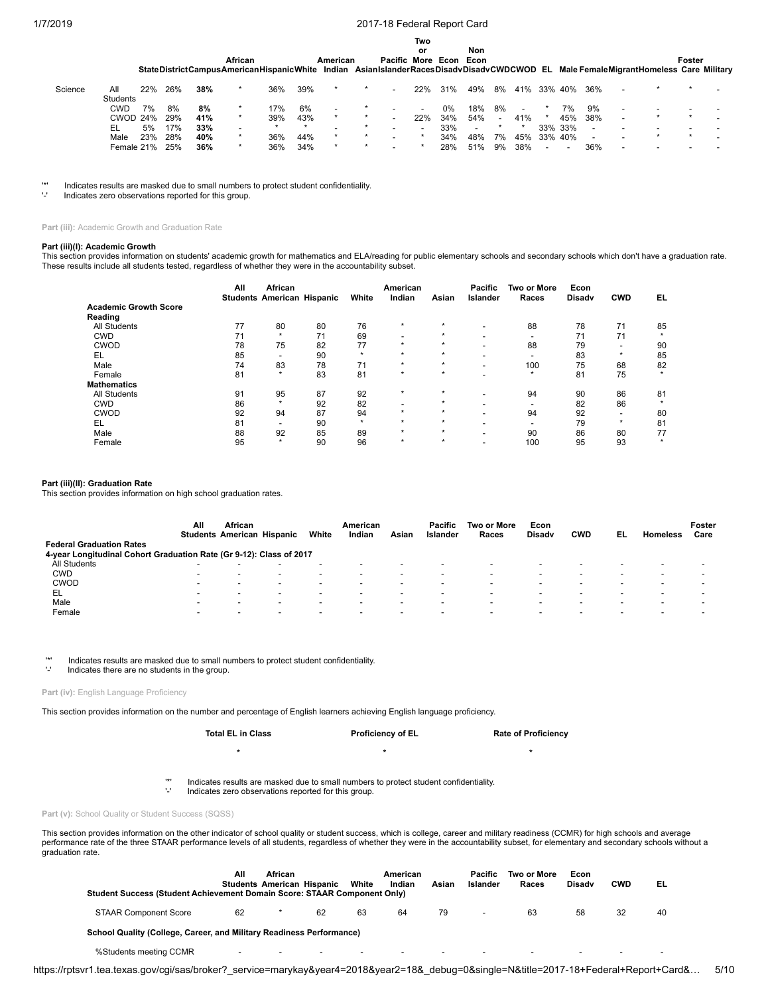**or Non**

StateDistrictCampusAmericanHispanicWhite Indian AsianIslanderRacesDisadvDisadvCWDCWOD EL Male FemaleMigrantHomeless Care Military **African American Pacific More Econ Econ Foster**

| Science | All             |    | 22% 26% | 38% |                          |     | 36% 39% |         |         | $\sim$                   |               | 22% 31% 49% 8% 41% 33% 40% 36% |                             |                          |    |         |                          |                          |  |
|---------|-----------------|----|---------|-----|--------------------------|-----|---------|---------|---------|--------------------------|---------------|--------------------------------|-----------------------------|--------------------------|----|---------|--------------------------|--------------------------|--|
|         | <b>Students</b> |    |         |     |                          |     |         |         |         |                          |               |                                |                             |                          |    |         |                          |                          |  |
|         | CWD             | 7% | 8%      | 8%  |                          | 17% | 6%      | $\sim$  |         | $\sim$                   | $\sim$ $\sim$ | 0%                             | 18% 8%                      | $\overline{\phantom{a}}$ | 7% | 9%      |                          |                          |  |
|         | CWOD 24% 29%    |    |         | 41% |                          | 39% | 43%     | $\star$ | $\star$ | $\sim$                   |               | 22% 34% 54% -                  |                             | 41% *                    |    | 45% 38% |                          |                          |  |
|         | EL .            |    | 5% 17%  | 33% | $\overline{\phantom{0}}$ |     |         |         |         | $\overline{\phantom{0}}$ | $\sim$        | 33%                            | $\frac{1}{2}$ * * 33% 33% - |                          |    |         | $\overline{\phantom{a}}$ | $\overline{\phantom{a}}$ |  |
|         | Male 23% 28%    |    |         | 40% |                          | 36% | 44%     | $\star$ |         | $\overline{\phantom{0}}$ |               | 34%                            | 48% 7% 45% 33% 40% -        |                          |    |         |                          |                          |  |
|         | Female 21% 25%  |    |         | 36% |                          |     | 36% 34% | $\star$ |         |                          |               | 28% 51% 9% 38% - -             |                             |                          |    | 36%     | $\overline{\phantom{a}}$ | $\sim$                   |  |
|         |                 |    |         |     |                          |     |         |         |         |                          |               |                                |                             |                          |    |         |                          |                          |  |

'\*' Indicates results are masked due to small numbers to protect student confidentiality.

Indicates zero observations reported for this group.

Part (iii): Academic Growth and Graduation Rate

#### **Part (iii)(I): Academic Growth**

This section provides information on students' academic growth for mathematics and ELA/reading for public elementary schools and secondary schools which don't have a graduation rate. These results include all students tested, regardless of whether they were in the accountability subset.

|                                         | All | African<br><b>Students American Hispanic</b> |    | White   | American<br>Indian       | Asian   | Pacific<br><b>Islander</b> | <b>Two or More</b><br>Races | Econ<br><b>Disady</b> | <b>CWD</b>               | EL      |
|-----------------------------------------|-----|----------------------------------------------|----|---------|--------------------------|---------|----------------------------|-----------------------------|-----------------------|--------------------------|---------|
| <b>Academic Growth Score</b><br>Reading |     |                                              |    |         |                          |         |                            |                             |                       |                          |         |
| <b>All Students</b>                     | 77  | 80                                           | 80 | 76      | ÷                        | $\star$ | $\overline{\phantom{a}}$   | 88                          | 78                    | 71                       | 85      |
| <b>CWD</b>                              | 71  | $\star$                                      | 71 | 69      | -                        | $\star$ | $\overline{\phantom{0}}$   | $\overline{\phantom{0}}$    | 71                    | 71                       | $\star$ |
| <b>CWOD</b>                             | 78  | 75                                           | 82 | 77      | $\star$                  | $\star$ | $\overline{\phantom{0}}$   | 88                          | 79                    |                          | 90      |
| EL                                      | 85  |                                              | 90 | $\star$ | $\star$                  | $\star$ |                            |                             | 83                    | $\star$                  | 85      |
| Male                                    | 74  | 83                                           | 78 | 71      | $\star$                  | $\star$ | $\overline{\phantom{a}}$   | 100                         | 75                    | 68                       | 82      |
| Female                                  | 81  | $\star$                                      | 83 | 81      | $\star$                  | $\star$ | $\overline{\phantom{a}}$   | $\star$                     | 81                    | 75                       | $\star$ |
| <b>Mathematics</b>                      |     |                                              |    |         |                          |         |                            |                             |                       |                          |         |
| All Students                            | 91  | 95                                           | 87 | 92      | $\star$                  | $\star$ | $\overline{\phantom{a}}$   | 94                          | 90                    | 86                       | 81      |
| <b>CWD</b>                              | 86  | $\star$                                      | 92 | 82      | $\overline{\phantom{a}}$ | $\star$ | $\overline{\phantom{a}}$   |                             | 82                    | 86                       | *       |
| <b>CWOD</b>                             | 92  | 94                                           | 87 | 94      | $\star$                  | $\star$ | $\overline{\phantom{a}}$   | 94                          | 92                    | $\overline{\phantom{0}}$ | 80      |
| EL                                      | 81  | $\overline{\phantom{a}}$                     | 90 | $\star$ | $\star$                  | $\star$ | $\overline{\phantom{0}}$   |                             | 79                    | $\star$                  | 81      |
| Male                                    | 88  | 92                                           | 85 | 89      | $\star$                  | $\star$ | $\overline{\phantom{0}}$   | 90                          | 86                    | 80                       | 77      |
| Female                                  | 95  | $\star$                                      | 90 | 96      | $\star$                  | $\star$ | $\overline{\phantom{a}}$   | 100                         | 95                    | 93                       | ÷       |

### **Part (iii)(II): Graduation Rate**

This section provides information on high school graduation rates.

|                                                                     | All                      | African<br><b>Students American Hispanic</b> |        | White                    | American<br>Indian | Asian                    | Pacific<br>Islander | Two or More<br>Races | Econ<br><b>Disady</b>    | <b>CWD</b>               | EL | <b>Homeless</b>          | Foster<br>Care |
|---------------------------------------------------------------------|--------------------------|----------------------------------------------|--------|--------------------------|--------------------|--------------------------|---------------------|----------------------|--------------------------|--------------------------|----|--------------------------|----------------|
| <b>Federal Graduation Rates</b>                                     |                          |                                              |        |                          |                    |                          |                     |                      |                          |                          |    |                          |                |
| 4-year Longitudinal Cohort Graduation Rate (Gr 9-12): Class of 2017 |                          |                                              |        |                          |                    |                          |                     |                      |                          |                          |    |                          |                |
| All Students                                                        | -                        | $\overline{\phantom{0}}$                     |        | $\overline{\phantom{0}}$ |                    | $\overline{\phantom{0}}$ | -                   |                      |                          | $\overline{\phantom{a}}$ |    | $\overline{\phantom{0}}$ |                |
| <b>CWD</b>                                                          | $\overline{\phantom{0}}$ | $\overline{\phantom{0}}$                     |        | $\overline{\phantom{0}}$ |                    | $\overline{\phantom{0}}$ |                     |                      | $\overline{\phantom{a}}$ | $\overline{\phantom{a}}$ |    | $\overline{\phantom{0}}$ |                |
| <b>CWOD</b>                                                         |                          | $\overline{\phantom{0}}$                     |        | $\overline{\phantom{0}}$ |                    | $\overline{\phantom{0}}$ |                     |                      |                          | $\overline{\phantom{a}}$ |    |                          |                |
| EL                                                                  |                          | $\overline{\phantom{0}}$                     | $\sim$ | $\overline{\phantom{a}}$ |                    | $\overline{\phantom{0}}$ | -                   | -                    | $\overline{\phantom{a}}$ | $\overline{\phantom{a}}$ |    | $\overline{\phantom{0}}$ |                |
| Male                                                                | $\overline{\phantom{0}}$ | $\overline{\phantom{0}}$                     |        | $\overline{\phantom{0}}$ |                    | $\overline{\phantom{0}}$ |                     |                      | $\overline{\phantom{a}}$ | $\overline{\phantom{0}}$ |    |                          |                |
| Female                                                              |                          | $\overline{\phantom{0}}$                     |        |                          |                    |                          |                     |                      | $\overline{\phantom{0}}$ | $\overline{\phantom{0}}$ |    |                          |                |

# '\*' Indicates results are masked due to small numbers to protect student confidentiality.

Indicates there are no students in the group.

Part (iv): English Language Proficiency

This section provides information on the number and percentage of English learners achieving English language proficiency.

| <b>Total EL in Class</b> | <b>Proficiency of EL</b> | <b>Rate of Proficiency</b> |
|--------------------------|--------------------------|----------------------------|

**\* \* \***

'\*' Indicates results are masked due to small numbers to protect student confidentiality. Indicates zero observations reported for this group.

Part (v): School Quality or Student Success (SQSS)

This section provides information on the other indicator of school quality or student success, which is college, career and military readiness (CCMR) for high schools and average performance rate of the three STAAR performance levels of all students, regardless of whether they were in the accountability subset, for elementary and secondary schools without a graduation rate.

| Student Success (Student Achievement Domain Score: STAAR Component Only) | All            | African                  | <b>Students American Hispanic</b> | White                    | American<br>Indian | Asian                    | <b>Pacific</b><br>Islander | <b>Two or More</b><br>Races | Econ<br><b>Disady</b>    | <b>CWD</b>               | EL                       |  |
|--------------------------------------------------------------------------|----------------|--------------------------|-----------------------------------|--------------------------|--------------------|--------------------------|----------------------------|-----------------------------|--------------------------|--------------------------|--------------------------|--|
| <b>STAAR Component Score</b>                                             | 62             |                          | 62                                | 63                       | 64                 | 79                       | $\overline{\phantom{0}}$   | 63                          | 58                       | 32                       | 40                       |  |
| School Quality (College, Career, and Military Readiness Performance)     |                |                          |                                   |                          |                    |                          |                            |                             |                          |                          |                          |  |
| %Students meeting CCMR                                                   | $\blacksquare$ | $\overline{\phantom{0}}$ | $\sim$                            | $\overline{\phantom{0}}$ | $\sim$             | $\overline{\phantom{0}}$ | $\overline{\phantom{a}}$   | $\overline{\phantom{0}}$    | $\overline{\phantom{0}}$ | $\overline{\phantom{a}}$ | $\overline{\phantom{a}}$ |  |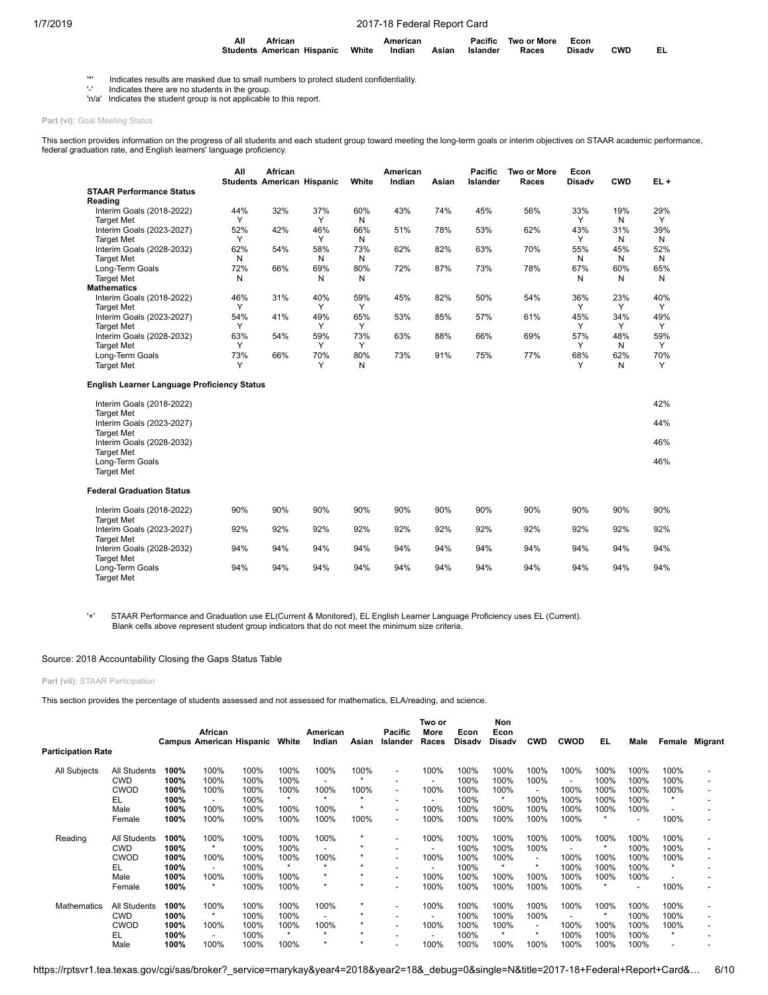| All | African                                 | American |                | Pacific Two or More Econ |        |            |    |
|-----|-----------------------------------------|----------|----------------|--------------------------|--------|------------|----|
|     | Students American Hispanic White Indian |          | Asian Islander | Races                    | Disadv | <b>CWD</b> | EL |

'\*' Indicates results are masked due to small numbers to protect student confidentiality.

'-' Indicates there are no students in the group. 'n/a' Indicates the student group is not applicable to this report.

Part (vi): Goal Meeting Status

This section provides information on the progress of all students and each student group toward meeting the long-term goals or interim objectives on STAAR academic performance, federal graduation rate, and English learners' language proficiency.

|                                                                                                                                   | All | African<br><b>Students American Hispanic</b> |     | White | American<br>Indian | Asian | <b>Pacific</b><br>Islander | <b>Two or More</b><br>Races | Econ<br><b>Disadv</b> | <b>CWD</b> | $EL +$     |
|-----------------------------------------------------------------------------------------------------------------------------------|-----|----------------------------------------------|-----|-------|--------------------|-------|----------------------------|-----------------------------|-----------------------|------------|------------|
| <b>STAAR Performance Status</b>                                                                                                   |     |                                              |     |       |                    |       |                            |                             |                       |            |            |
| Reading                                                                                                                           |     |                                              |     |       |                    |       |                            |                             |                       |            |            |
| Interim Goals (2018-2022)                                                                                                         | 44% | 32%                                          | 37% | 60%   | 43%                | 74%   | 45%                        | 56%                         | 33%                   | 19%        | 29%        |
| <b>Target Met</b>                                                                                                                 | Y   |                                              | Y   | N     |                    |       |                            |                             | Y                     | N          | Y          |
| Interim Goals (2023-2027)                                                                                                         | 52% | 42%                                          | 46% | 66%   | 51%                | 78%   | 53%                        | 62%                         | 43%                   | 31%        | 39%        |
| <b>Target Met</b>                                                                                                                 | Y   |                                              | Y   | N     |                    |       |                            |                             | Y                     | N          | N          |
| Interim Goals (2028-2032)                                                                                                         | 62% | 54%                                          | 58% | 73%   | 62%                | 82%   | 63%                        | 70%                         | 55%                   | 45%        | 52%        |
| <b>Target Met</b>                                                                                                                 | N   |                                              | N   | N     |                    |       |                            |                             | N                     | N          | N          |
| Long-Term Goals                                                                                                                   | 72% | 66%                                          | 69% | 80%   | 72%                | 87%   | 73%                        | 78%                         | 67%                   | 60%        | 65%        |
| <b>Target Met</b>                                                                                                                 | N   |                                              | N   | N     |                    |       |                            |                             | N                     | N          | N          |
| <b>Mathematics</b>                                                                                                                |     |                                              |     |       |                    |       |                            |                             |                       |            |            |
| Interim Goals (2018-2022)                                                                                                         | 46% | 31%                                          | 40% | 59%   | 45%                | 82%   | 50%                        | 54%                         | 36%                   | 23%        | 40%        |
| <b>Target Met</b>                                                                                                                 | Y   |                                              | Y   | Υ     |                    |       |                            |                             | Y                     | Y          | Y          |
| Interim Goals (2023-2027)                                                                                                         | 54% | 41%                                          | 49% | 65%   | 53%                | 85%   | 57%                        | 61%                         | 45%                   | 34%        | 49%        |
| <b>Target Met</b>                                                                                                                 | Y   |                                              | Y   | Y     |                    |       |                            |                             | Y                     | Y          | Y          |
| Interim Goals (2028-2032)                                                                                                         | 63% | 54%                                          | 59% | 73%   | 63%                | 88%   | 66%                        | 69%                         | 57%                   | 48%        | 59%        |
| <b>Target Met</b>                                                                                                                 | Y   |                                              | Y   | Y     |                    |       |                            |                             | Y                     | N          | Y          |
| Long-Term Goals                                                                                                                   | 73% | 66%                                          | 70% | 80%   | 73%                | 91%   | 75%                        | 77%                         | 68%                   | 62%        | 70%        |
| <b>Target Met</b>                                                                                                                 | Υ   |                                              | Υ   | N     |                    |       |                            |                             | Y                     | N          | Y          |
| <b>English Learner Language Proficiency Status</b><br>Interim Goals (2018-2022)<br><b>Target Met</b><br>Interim Goals (2023-2027) |     |                                              |     |       |                    |       |                            |                             |                       |            | 42%<br>44% |
| <b>Target Met</b>                                                                                                                 |     |                                              |     |       |                    |       |                            |                             |                       |            |            |
| Interim Goals (2028-2032)<br><b>Target Met</b>                                                                                    |     |                                              |     |       |                    |       |                            |                             |                       |            | 46%        |
| Long-Term Goals                                                                                                                   |     |                                              |     |       |                    |       |                            |                             |                       |            | 46%        |
| <b>Target Met</b>                                                                                                                 |     |                                              |     |       |                    |       |                            |                             |                       |            |            |
| <b>Federal Graduation Status</b>                                                                                                  |     |                                              |     |       |                    |       |                            |                             |                       |            |            |
| Interim Goals (2018-2022)                                                                                                         | 90% | 90%                                          | 90% | 90%   | 90%                | 90%   | 90%                        | 90%                         | 90%                   | 90%        | 90%        |
| <b>Target Met</b>                                                                                                                 |     |                                              |     |       |                    |       |                            |                             |                       |            |            |
| Interim Goals (2023-2027)                                                                                                         | 92% | 92%                                          | 92% | 92%   | 92%                | 92%   | 92%                        | 92%                         | 92%                   | 92%        | 92%        |
| <b>Target Met</b>                                                                                                                 |     |                                              |     |       |                    |       |                            |                             |                       |            |            |
| Interim Goals (2028-2032)                                                                                                         | 94% | 94%                                          | 94% | 94%   | 94%                | 94%   | 94%                        | 94%                         | 94%                   | 94%        | 94%        |
| <b>Target Met</b>                                                                                                                 |     |                                              |     |       |                    |       |                            |                             |                       |            |            |
| Long-Term Goals<br><b>Target Met</b>                                                                                              | 94% | 94%                                          | 94% | 94%   | 94%                | 94%   | 94%                        | 94%                         | 94%                   | 94%        | 94%        |

'+' STAAR Performance and Graduation use EL(Current & Monitored), EL English Learner Language Proficiency uses EL (Current). Blank cells above represent student group indicators that do not meet the minimum size criteria.

### Source: 2018 Accountability Closing the Gaps Status Table

**Part (vii):** STAAR Participation

This section provides the percentage of students assessed and not assessed for mathematics, ELA/reading, and science.

| <b>Participation Rate</b> |              |      | African                  | <b>Campus American Hispanic</b> | White   | American<br>Indian       | Asian   | <b>Pacific</b><br>Islander | Two or<br>More<br>Races  | Econ<br><b>Disady</b> | Non<br>Econ<br><b>Disady</b> | <b>CWD</b>               | <b>CWOD</b>              | EL      | Male | Female | Migrant |
|---------------------------|--------------|------|--------------------------|---------------------------------|---------|--------------------------|---------|----------------------------|--------------------------|-----------------------|------------------------------|--------------------------|--------------------------|---------|------|--------|---------|
| All Subjects              | All Students | 100% | 100%                     | 100%                            | 100%    | 100%                     | 100%    | $\overline{\phantom{0}}$   | 100%                     | 100%                  | 100%                         | 100%                     | 100%                     | 100%    | 100% | 100%   |         |
|                           | <b>CWD</b>   | 100% | 100%                     | 100%                            | 100%    |                          | $\star$ |                            | $\overline{\phantom{a}}$ | 100%                  | 100%                         | 100%                     | $\overline{\phantom{a}}$ | 100%    | 100% | 100%   |         |
|                           | <b>CWOD</b>  | 100% | 100%                     | 100%                            | 100%    | 100%                     | 100%    | $\overline{\phantom{a}}$   | 100%                     | 100%                  | 100%                         | $\blacksquare$           | 100%                     | 100%    | 100% | 100%   |         |
|                           | EL           | 100% | $\overline{\phantom{0}}$ | 100%                            | $\star$ | $\star$                  | $\star$ |                            | $\overline{\phantom{a}}$ | 100%                  | $\star$                      | 100%                     | 100%                     | 100%    | 100% |        |         |
|                           | Male         | 100% | 100%                     | 100%                            | 100%    | 100%                     |         | $\overline{\phantom{0}}$   | 100%                     | 100%                  | 100%                         | 100%                     | 100%                     | 100%    | 100% |        |         |
|                           | Female       | 100% | 100%                     | 100%                            | 100%    | 100%                     | 100%    |                            | 100%                     | 100%                  | 100%                         | 100%                     | 100%                     | $\star$ |      | 100%   |         |
| Reading                   | All Students | 100% | 100%                     | 100%                            | 100%    | 100%                     | ÷       | $\overline{\phantom{0}}$   | 100%                     | 100%                  | 100%                         | 100%                     | 100%                     | 100%    | 100% | 100%   |         |
|                           | <b>CWD</b>   | 100% | $\star$                  | 100%                            | 100%    |                          | ÷       |                            |                          | 100%                  | 100%                         | 100%                     |                          | $\star$ | 100% | 100%   |         |
|                           | <b>CWOD</b>  | 100% | 100%                     | 100%                            | 100%    | 100%                     | *       | $\overline{\phantom{a}}$   | 100%                     | 100%                  | 100%                         | $\overline{\phantom{a}}$ | 100%                     | 100%    | 100% | 100%   |         |
|                           | EL           | 100% | $\overline{\phantom{a}}$ | 100%                            | $\star$ | $\star$                  | ÷       |                            |                          | 100%                  |                              |                          | 100%                     | 100%    | 100% |        |         |
|                           | Male         | 100% | 100%                     | 100%                            | 100%    |                          |         |                            | 100%                     | 100%                  | 100%                         | 100%                     | 100%                     | 100%    | 100% |        |         |
|                           | Female       | 100% | $\star$                  | 100%                            | 100%    | $\star$                  | ÷       |                            | 100%                     | 100%                  | 100%                         | 100%                     | 100%                     | $\star$ |      | 100%   |         |
| Mathematics               | All Students | 100% | 100%                     | 100%                            | 100%    | 100%                     | *       | $\overline{\phantom{0}}$   | 100%                     | 100%                  | 100%                         | 100%                     | 100%                     | 100%    | 100% | 100%   |         |
|                           | <b>CWD</b>   | 100% | $\star$                  | 100%                            | 100%    | $\overline{\phantom{a}}$ | ÷       |                            | $\overline{\phantom{a}}$ | 100%                  | 100%                         | 100%                     |                          | $\star$ | 100% | 100%   |         |
|                           | <b>CWOD</b>  | 100% | 100%                     | 100%                            | 100%    | 100%                     | ÷       | $\overline{\phantom{0}}$   | 100%                     | 100%                  | 100%                         | $\blacksquare$           | 100%                     | 100%    | 100% | 100%   |         |
|                           | EL           | 100% | $\overline{\phantom{a}}$ | 100%                            | $\star$ | $\star$                  | ÷       |                            | $\blacksquare$           | 100%                  | $\star$                      | $\star$                  | 100%                     | 100%    | 100% |        |         |
|                           | Male         | 100% | 100%                     | 100%                            | 100%    |                          |         |                            | 100%                     | 100%                  | 100%                         | 100%                     | 100%                     | 100%    | 100% |        |         |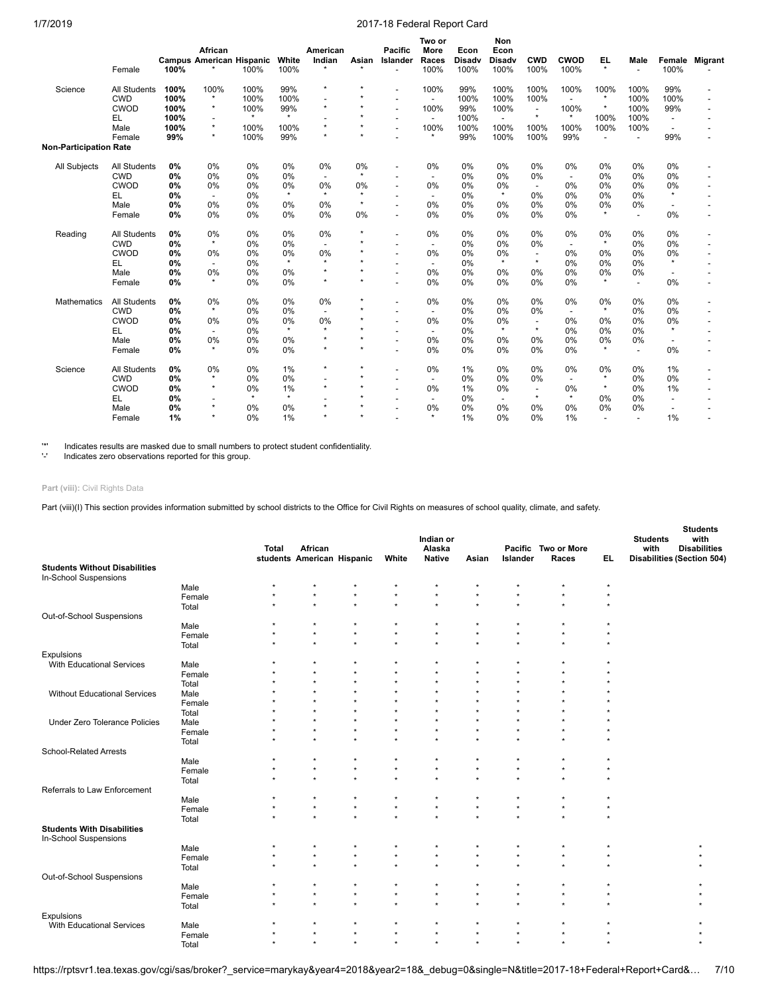|                               |                     |      | African<br><b>Campus American Hispanic</b> |         | White   | American<br>Indian | Asian   | <b>Pacific</b><br>Islander | Two or<br>More<br>Races  | Econ<br><b>Disadv</b> | Non<br>Econ<br><b>Disadv</b> | <b>CWD</b>               | <b>CWOD</b>              | EL.     | Male                     |                          | Female Migrant |
|-------------------------------|---------------------|------|--------------------------------------------|---------|---------|--------------------|---------|----------------------------|--------------------------|-----------------------|------------------------------|--------------------------|--------------------------|---------|--------------------------|--------------------------|----------------|
|                               | Female              | 100% |                                            | 100%    | 100%    |                    |         |                            | 100%                     | 100%                  | 100%                         | 100%                     | 100%                     | $\star$ | $\overline{a}$           | 100%                     |                |
| Science                       | <b>All Students</b> | 100% | 100%                                       | 100%    | 99%     | $\star$            |         | $\overline{a}$             | 100%                     | 99%                   | 100%                         | 100%                     | 100%                     | 100%    | 100%                     | 99%                      |                |
|                               | <b>CWD</b>          | 100% | $\star$                                    | 100%    | 100%    |                    |         |                            |                          | 100%                  | 100%                         | 100%                     | $\overline{\phantom{a}}$ | $\star$ | 100%                     | 100%                     |                |
|                               | <b>CWOD</b>         | 100% | $\star$                                    | 100%    | 99%     | $\star$            | $\star$ | $\overline{a}$             | 100%                     | 99%                   | 100%                         | $\overline{\phantom{a}}$ | 100%                     | $\star$ | 100%                     | 99%                      |                |
|                               | EL                  | 100% |                                            | $\star$ | $\star$ |                    |         | $\overline{a}$             |                          | 100%                  | $\overline{a}$               | $\star$                  | $\star$                  | 100%    | 100%                     | $\blacksquare$           |                |
|                               | Male                | 100% | $\star$                                    | 100%    | 100%    |                    | $\star$ | $\overline{a}$             | 100%                     | 100%                  | 100%                         | 100%                     | 100%                     | 100%    | 100%                     | $\overline{\phantom{a}}$ |                |
|                               | Female              | 99%  | $\star$                                    | 100%    | 99%     |                    |         |                            |                          | 99%                   | 100%                         | 100%                     | 99%                      |         |                          | 99%                      |                |
| <b>Non-Participation Rate</b> |                     |      |                                            |         |         |                    |         |                            |                          |                       |                              |                          |                          |         |                          |                          |                |
| All Subjects                  | All Students        | 0%   | 0%                                         | 0%      | 0%      | 0%                 | 0%      |                            | 0%                       | 0%                    | 0%                           | 0%                       | 0%                       | 0%      | 0%                       | 0%                       |                |
|                               | <b>CWD</b>          | 0%   | 0%                                         | 0%      | 0%      | $\sim$             | $\star$ |                            | $\overline{\phantom{a}}$ | 0%                    | 0%                           | 0%                       | $\overline{\phantom{a}}$ | 0%      | 0%                       | 0%                       |                |
|                               | <b>CWOD</b>         | 0%   | 0%                                         | 0%      | 0%      | 0%                 | 0%      | ÷                          | 0%                       | 0%                    | 0%                           | $\overline{\phantom{a}}$ | 0%                       | 0%      | 0%                       | 0%                       |                |
|                               | EL                  | 0%   | $\overline{\phantom{a}}$                   | 0%      | $\star$ | $\star$            | $\star$ |                            |                          | 0%                    | $\star$                      | 0%                       | 0%                       | 0%      | 0%                       | $\star$                  |                |
|                               | Male                | 0%   | 0%                                         | 0%      | 0%      | 0%                 | $\star$ |                            | 0%                       | 0%                    | 0%                           | 0%                       | 0%                       | 0%      | 0%                       |                          |                |
|                               | Female              | 0%   | 0%                                         | 0%      | 0%      | 0%                 | 0%      | $\overline{\phantom{0}}$   | 0%                       | 0%                    | 0%                           | 0%                       | 0%                       | $\star$ | $\overline{\phantom{a}}$ | 0%                       |                |
| Reading                       | <b>All Students</b> | 0%   | 0%                                         | 0%      | 0%      | 0%                 |         | ÷                          | 0%                       | 0%                    | 0%                           | 0%                       | 0%                       | 0%      | 0%                       | 0%                       |                |
|                               | <b>CWD</b>          | 0%   | $^\star$                                   | 0%      | 0%      | $\overline{a}$     |         | $\overline{a}$             | $\blacksquare$           | 0%                    | 0%                           | 0%                       | $\blacksquare$           | $\star$ | 0%                       | 0%                       |                |
|                               | <b>CWOD</b>         | 0%   | 0%                                         | 0%      | 0%      | 0%                 |         |                            | 0%                       | 0%                    | 0%                           | $\overline{\phantom{a}}$ | 0%                       | 0%      | 0%                       | 0%                       |                |
|                               | EL                  | 0%   | $\overline{\phantom{a}}$                   | 0%      | $\star$ | $\star$            |         |                            |                          | 0%                    | $\star$                      | $\star$                  | 0%                       | 0%      | 0%                       | $\star$                  |                |
|                               | Male                | 0%   | 0%                                         | 0%      | 0%      | $\star$            | $\star$ | $\overline{a}$             | 0%                       | 0%                    | 0%                           | 0%                       | 0%                       | 0%      | 0%                       |                          |                |
|                               | Female              | 0%   | $\star$                                    | 0%      | 0%      | $\star$            | $\star$ |                            | 0%                       | 0%                    | 0%                           | 0%                       | 0%                       | $\star$ |                          | 0%                       |                |
| Mathematics                   | All Students        | 0%   | 0%                                         | 0%      | 0%      | 0%                 |         | ٠                          | 0%                       | 0%                    | 0%                           | 0%                       | 0%                       | 0%      | 0%                       | 0%                       |                |
|                               | <b>CWD</b>          | 0%   | $^\star$                                   | 0%      | 0%      | $\overline{a}$     |         |                            | $\overline{\phantom{a}}$ | 0%                    | 0%                           | 0%                       |                          | $\star$ | 0%                       | 0%                       |                |
|                               | <b>CWOD</b>         | 0%   | 0%                                         | 0%      | 0%      | 0%                 |         | $\overline{\phantom{a}}$   | 0%                       | 0%                    | 0%                           | $\overline{\phantom{a}}$ | 0%                       | 0%      | 0%                       | 0%                       |                |
|                               | EL                  | 0%   | $\overline{\phantom{0}}$                   | 0%      | $\star$ | $\star$            |         |                            | $\overline{\phantom{a}}$ | 0%                    | $\star$                      | $\star$                  | 0%                       | 0%      | 0%                       | $\star$                  |                |
|                               | Male                | 0%   | 0%                                         | 0%      | 0%      | $\star$            | $\star$ |                            | 0%                       | 0%                    | 0%                           | 0%                       | 0%                       | 0%      | 0%                       |                          |                |
|                               | Female              | 0%   | $\star$                                    | 0%      | 0%      | $\star$            |         |                            | 0%                       | 0%                    | 0%                           | 0%                       | 0%                       | $\star$ | $\overline{a}$           | 0%                       |                |
| Science                       | <b>All Students</b> | 0%   | 0%                                         | 0%      | 1%      | $\star$            |         | $\overline{a}$             | 0%                       | 1%                    | 0%                           | 0%                       | 0%                       | 0%      | 0%                       | 1%                       |                |
|                               | <b>CWD</b>          | 0%   | $\star$                                    | 0%      | 0%      |                    |         |                            | $\overline{\phantom{a}}$ | 0%                    | 0%                           | 0%                       | $\overline{\phantom{a}}$ | $\star$ | 0%                       | 0%                       |                |
|                               | CWOD                | 0%   | $\star$                                    | 0%      | 1%      |                    |         |                            | 0%                       | 1%                    | 0%                           | $\overline{\phantom{a}}$ | 0%                       | $\star$ | 0%                       | 1%                       |                |
|                               | EL                  | 0%   |                                            | $\star$ | $\star$ |                    |         |                            |                          | 0%                    | $\overline{\phantom{a}}$     | $\star$                  | $\star$                  | 0%      | 0%                       |                          |                |
|                               | Male                | 0%   | $\star$                                    | 0%      | 0%      |                    |         |                            | 0%                       | 0%                    | 0%                           | 0%                       | 0%                       | 0%      | 0%                       |                          |                |
|                               | Female              | 1%   | ÷                                          | 0%      | 1%      |                    |         |                            |                          | 1%                    | 0%                           | 0%                       | 1%                       |         | $\overline{\phantom{a}}$ | 1%                       |                |

'\*' Indicates results are masked due to small numbers to protect student confidentiality. '-' Indicates zero observations reported for this group.

### **Part (viii):** Civil Rights Data

Part (viii)(I) This section provides information submitted by school districts to the Office for Civil Rights on measures of school quality, climate, and safety.

|                                      |        | <b>Total</b> | African<br>students American Hispanic |         | White   | Indian or<br>Alaska<br><b>Native</b> | Asian   | Pacific<br>Islander | <b>Two or More</b><br>Races | EL.     | <b>Students</b><br>with<br><b>Students</b><br>with<br><b>Disabilities</b><br><b>Disabilities (Section 504)</b> |
|--------------------------------------|--------|--------------|---------------------------------------|---------|---------|--------------------------------------|---------|---------------------|-----------------------------|---------|----------------------------------------------------------------------------------------------------------------|
| <b>Students Without Disabilities</b> |        |              |                                       |         |         |                                      |         |                     |                             |         |                                                                                                                |
| In-School Suspensions                |        |              |                                       |         |         |                                      |         |                     |                             |         |                                                                                                                |
|                                      | Male   | $\star$      |                                       |         | ×       | $\star$                              | $\star$ | $\star$             | $\star$                     | $\star$ |                                                                                                                |
|                                      | Female | $\star$      |                                       | $\star$ | $\star$ | $\star$                              | $\star$ | $\star$             | $\star$                     | $\star$ |                                                                                                                |
|                                      | Total  | $\star$      | $\star$                               | $\star$ | $\star$ | $\star$                              | $\star$ | $\star$             | $\star$                     | $\star$ |                                                                                                                |
| Out-of-School Suspensions            |        |              |                                       |         |         |                                      |         |                     |                             |         |                                                                                                                |
|                                      | Male   | ÷            |                                       | $\star$ | $\star$ | $\star$                              | $\star$ | $\star$             | $\star$                     |         |                                                                                                                |
|                                      | Female | $\star$      | $\star$                               | $\star$ | $\star$ | $\star$                              | $\star$ | $\star$             | $\star$                     | $\star$ |                                                                                                                |
|                                      | Total  | $\star$      | $\star$                               | $\star$ | $\star$ | $\star$                              | $\star$ | $\star$             | $\star$                     | $\star$ |                                                                                                                |
| Expulsions                           |        |              |                                       |         |         |                                      |         |                     |                             |         |                                                                                                                |
| With Educational Services            | Male   | $\star$      | $\star$                               | $\star$ | $\star$ | $\star$                              | $\star$ | $\star$             | $\star$                     | $\star$ |                                                                                                                |
|                                      | Female | $\star$      | $\star$                               | $\star$ | $\star$ | $\star$                              | $\star$ | $\star$             | $\star$                     | $\star$ |                                                                                                                |
|                                      | Total  |              |                                       |         | ÷       | $\star$                              | $\star$ |                     |                             |         |                                                                                                                |
| <b>Without Educational Services</b>  | Male   |              | $\star$                               |         | $\star$ | $\star$                              | $\star$ | $\star$             | $\star$                     |         |                                                                                                                |
|                                      | Female | $\star$      | $\star$                               |         | $\star$ | $\star$                              | $\star$ | $\star$             | $\star$                     |         |                                                                                                                |
|                                      | Total  |              | $\star$                               |         | $\star$ | $\star$                              | $\star$ | $\star$             |                             |         |                                                                                                                |
| Under Zero Tolerance Policies        | Male   |              | $\star$                               |         | ÷       | $\star$                              | $\star$ | $\star$             | $\star$                     |         |                                                                                                                |
|                                      | Female |              | $\star$                               | $\star$ | $\star$ | $\star$                              | $\star$ | $\star$             | $\star$                     |         |                                                                                                                |
|                                      | Total  | $\star$      | $\star$                               |         | $\star$ | $\star$                              | $\star$ | $\star$             | $\star$                     |         |                                                                                                                |
| <b>School-Related Arrests</b>        |        |              |                                       |         |         |                                      |         |                     |                             |         |                                                                                                                |
|                                      | Male   | $\star$      |                                       | $\star$ |         | $\star$                              | $\star$ |                     | $\star$                     |         |                                                                                                                |
|                                      | Female | $\star$      | $\star$                               | $\star$ | $\star$ | $\star$                              | $\star$ | $\star$             | $\star$                     |         |                                                                                                                |
|                                      | Total  | $\star$      | $\star$                               | $\star$ | $\star$ | $\star$                              | $\star$ | $\star$             | $\star$                     |         |                                                                                                                |
| Referrals to Law Enforcement         |        |              |                                       |         |         |                                      |         |                     |                             |         |                                                                                                                |
|                                      | Male   | $\star$      | $\star$                               | $\star$ | $\star$ | $\star$                              | $\star$ | $\star$             | $\star$                     | $\star$ |                                                                                                                |
|                                      | Female |              |                                       |         | $\star$ | $^\star$                             | $\star$ | $\star$             | $\star$                     |         |                                                                                                                |
|                                      | Total  | $\star$      | $\star$                               | $\star$ | $\star$ | $\star$                              | $\star$ | $^\star$            | $\star$                     | $\star$ |                                                                                                                |
| <b>Students With Disabilities</b>    |        |              |                                       |         |         |                                      |         |                     |                             |         |                                                                                                                |
| In-School Suspensions                |        |              |                                       |         |         |                                      |         |                     |                             |         |                                                                                                                |
|                                      | Male   | $\star$      |                                       | $\star$ | $\star$ | $\star$                              | $\star$ | $\star$             | $\star$                     |         |                                                                                                                |
|                                      | Female | $\star$      | $\star$                               | $\star$ | $\star$ | $\star$                              | $\star$ | $\star$             | $\star$                     | $\star$ |                                                                                                                |
|                                      | Total  | $\star$      | $\star$                               | $\star$ | $\star$ | $\star$                              | $\star$ | $\star$             | $\star$                     | $\star$ |                                                                                                                |
| Out-of-School Suspensions            |        |              |                                       |         |         |                                      |         |                     |                             |         |                                                                                                                |
|                                      | Male   | $\star$      |                                       | $\star$ |         | $\star$                              | $\star$ | $\star$             | $\star$                     |         |                                                                                                                |
|                                      | Female | $^\star$     | $\star$                               | $\star$ | $\star$ | $\star$                              | $\star$ | $\star$             | $\star$                     | $\star$ |                                                                                                                |
|                                      | Total  | $\star$      | $\star$                               | $\star$ | $\star$ | $\star$                              | $\star$ | $\star$             | $\star$                     |         |                                                                                                                |
| Expulsions                           |        |              |                                       |         |         |                                      |         |                     |                             |         |                                                                                                                |
| <b>With Educational Services</b>     | Male   | $\star$      |                                       |         | $\star$ | $\star$                              | $\star$ | $\star$             | $\star$                     |         |                                                                                                                |
|                                      | Female | $\star$      | $\star$                               | $\star$ | $\star$ | $\star$                              | $\star$ | $\star$             | $\star$                     |         |                                                                                                                |
|                                      | Total  | $\star$      | $\star$                               | $\star$ | $\star$ | $\star$                              | $\star$ | $\star$             | $\star$                     | $\star$ | $\star$                                                                                                        |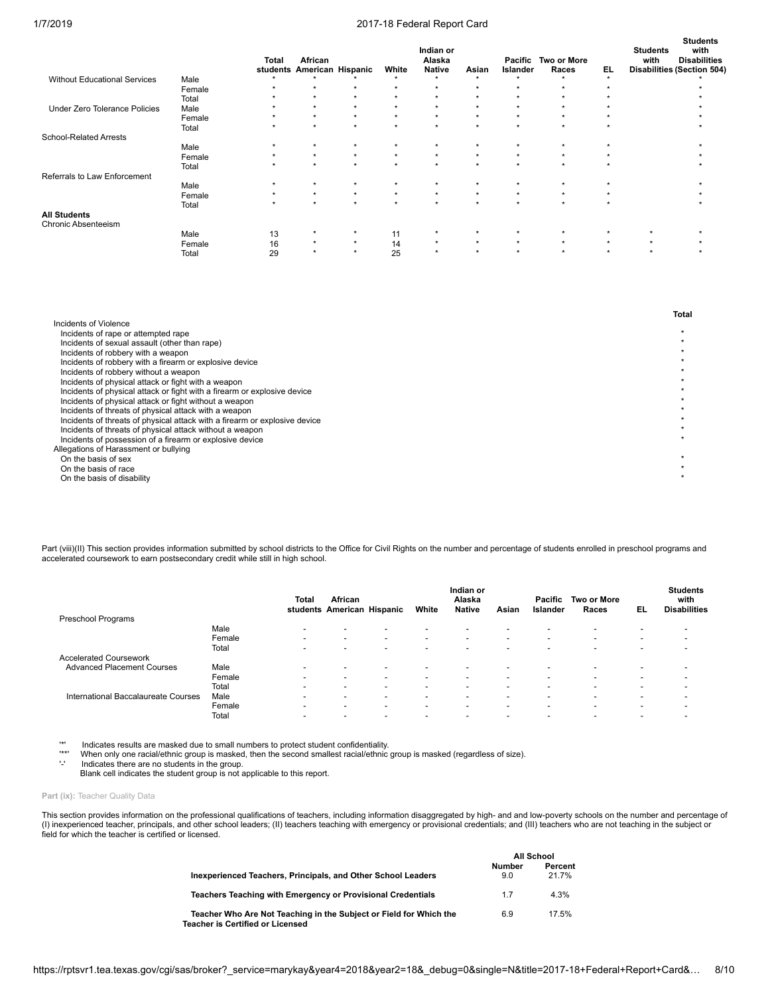|                                            |        | <b>Total</b><br>students | African<br>American Hispanic |         | White     | Indian or<br>Alaska<br><b>Native</b> | Asian   | Pacific<br><b>Islander</b> | <b>Two or More</b><br>Races | EL.     | <b>Students</b><br>with<br><b>Disabilities (Section 504)</b> | <b>Students</b><br>with<br><b>Disabilities</b> |
|--------------------------------------------|--------|--------------------------|------------------------------|---------|-----------|--------------------------------------|---------|----------------------------|-----------------------------|---------|--------------------------------------------------------------|------------------------------------------------|
| <b>Without Educational Services</b>        | Male   | $\star$                  |                              |         | $\ddot{}$ |                                      | ٠       |                            |                             |         |                                                              |                                                |
|                                            | Female |                          |                              |         | ٠         |                                      | $\star$ |                            |                             |         |                                                              |                                                |
|                                            | Total  | $\star$                  | $\star$                      | $\star$ | $\star$   | $\star$                              | $\star$ | $\star$                    | $\star$                     |         |                                                              |                                                |
| <b>Under Zero Tolerance Policies</b>       | Male   | $\star$                  | $\star$                      | $\star$ | $\star$   | $\star$                              | $\star$ | $\star$                    | $\star$                     |         |                                                              |                                                |
|                                            | Female | $\star$                  | $\star$                      | $\star$ | $\star$   | $\star$                              | $\star$ | $\star$                    | $\star$                     |         |                                                              |                                                |
|                                            | Total  | $\star$                  | $\star$                      | $\star$ | $\star$   | $\ddot{}$                            | $\star$ | $\star$                    | $\star$                     | $\star$ |                                                              |                                                |
| <b>School-Related Arrests</b>              |        |                          |                              |         |           |                                      |         |                            |                             |         |                                                              |                                                |
|                                            | Male   | $\star$                  | $\star$                      | $\star$ | $\star$   | $\star$                              | $\star$ | $\star$                    | $\star$                     | $\star$ |                                                              |                                                |
|                                            | Female | $\star$                  | $\star$                      | $\star$ | $\star$   | $\star$                              | $\star$ | $\star$                    | $\star$                     |         |                                                              |                                                |
|                                            | Total  | $\star$                  | $\star$                      | $\star$ | $\star$   | $\ddot{}$                            | $\star$ | $\star$                    | $\star$                     | $\star$ |                                                              |                                                |
| Referrals to Law Enforcement               |        |                          |                              |         |           |                                      |         |                            |                             |         |                                                              |                                                |
|                                            | Male   | $\star$                  |                              | $\star$ | $\star$   | $\star$                              | $\star$ | $\star$                    | $\star$                     |         |                                                              |                                                |
|                                            | Female | $\star$                  | $\star$                      | $\star$ | $\star$   | $\star$                              | $\star$ | $\star$                    | $\star$                     |         |                                                              |                                                |
|                                            | Total  | $\star$                  | $\star$                      | $\star$ | $\star$   | $\star$                              | $\star$ | $\star$                    | $\star$                     |         |                                                              |                                                |
| <b>All Students</b><br>Chronic Absenteeism |        |                          |                              |         |           |                                      |         |                            |                             |         |                                                              |                                                |
|                                            | Male   | 13                       | $\star$                      | $\star$ | 11        | $\star$                              | $\star$ | $\star$                    | $\star$                     | $\star$ | $\star$                                                      |                                                |
|                                            | Female | 16                       | $\star$                      | $\star$ | 14        | $\star$                              | $\star$ | $\star$                    | $\star$                     | $\star$ | $\star$                                                      |                                                |
|                                            | Total  | 29                       | $\star$                      | $\star$ | 25        | $\star$                              | $\star$ | $\star$                    | $\star$                     | $\star$ | $\star$                                                      |                                                |

|                                                                            | Total |
|----------------------------------------------------------------------------|-------|
| Incidents of Violence                                                      |       |
| Incidents of rape or attempted rape                                        |       |
| Incidents of sexual assault (other than rape)                              |       |
| Incidents of robbery with a weapon                                         |       |
| Incidents of robbery with a firearm or explosive device                    |       |
| Incidents of robbery without a weapon                                      |       |
| Incidents of physical attack or fight with a weapon                        |       |
| Incidents of physical attack or fight with a firearm or explosive device   |       |
| Incidents of physical attack or fight without a weapon                     |       |
| Incidents of threats of physical attack with a weapon                      |       |
| Incidents of threats of physical attack with a firearm or explosive device |       |
| Incidents of threats of physical attack without a weapon                   |       |
| Incidents of possession of a firearm or explosive device                   |       |
| Allegations of Harassment or bullying                                      |       |
| On the basis of sex                                                        |       |
| On the basis of race                                                       |       |
| On the basis of disability                                                 |       |

Part (viii)(II) This section provides information submitted by school districts to the Office for Civil Rights on the number and percentage of students enrolled in preschool programs and<br>accelerated coursework to earn post

|                                     |        | Total                    | African<br>students American Hispanic |                          | White                    | Indian or<br>Alaska<br><b>Native</b> | Asian                    | Pacific<br>Islander      | <b>Two or More</b><br>Races | EL. | <b>Students</b><br>with<br><b>Disabilities</b> |
|-------------------------------------|--------|--------------------------|---------------------------------------|--------------------------|--------------------------|--------------------------------------|--------------------------|--------------------------|-----------------------------|-----|------------------------------------------------|
| Preschool Programs                  |        |                          |                                       |                          |                          |                                      |                          |                          |                             |     |                                                |
|                                     | Male   | $\blacksquare$           | $\overline{\phantom{0}}$              | $\overline{\phantom{a}}$ | $\overline{\phantom{a}}$ |                                      | $\overline{\phantom{a}}$ | -                        | $\blacksquare$              |     |                                                |
|                                     | Female | $\overline{\phantom{a}}$ | $\overline{\phantom{0}}$              | $\overline{\phantom{a}}$ | $\overline{\phantom{a}}$ | -                                    | $\overline{\phantom{0}}$ | $\overline{\phantom{0}}$ | $\overline{\phantom{a}}$    | -   |                                                |
|                                     | Total  | $\overline{\phantom{a}}$ |                                       | $\overline{\phantom{a}}$ | $\overline{\phantom{0}}$ | -                                    | -                        | $\overline{\phantom{a}}$ | $\overline{\phantom{0}}$    |     |                                                |
| <b>Accelerated Coursework</b>       |        |                          |                                       |                          |                          |                                      |                          |                          |                             |     |                                                |
| <b>Advanced Placement Courses</b>   | Male   |                          |                                       | $\overline{\phantom{a}}$ |                          |                                      | $\overline{\phantom{a}}$ |                          | $\blacksquare$              |     |                                                |
|                                     | Female | $\overline{\phantom{0}}$ | -                                     | $\overline{\phantom{a}}$ | $\overline{\phantom{0}}$ | -                                    | $\overline{\phantom{a}}$ | $\overline{\phantom{0}}$ | $\overline{\phantom{a}}$    |     |                                                |
|                                     | Total  | $\overline{\phantom{a}}$ | -                                     | $\overline{\phantom{a}}$ | $\,$                     | -                                    | $\overline{\phantom{0}}$ | $\overline{\phantom{0}}$ | $\overline{\phantom{0}}$    | -   |                                                |
| International Baccalaureate Courses | Male   | $\blacksquare$           |                                       | $\overline{\phantom{a}}$ | $\overline{\phantom{0}}$ | -                                    | $\overline{\phantom{a}}$ |                          | $\blacksquare$              |     |                                                |
|                                     | Female | $\overline{\phantom{a}}$ | -                                     | $\overline{\phantom{a}}$ | $\overline{\phantom{a}}$ | $\overline{\phantom{a}}$             | $\overline{\phantom{0}}$ | $\overline{\phantom{a}}$ | $\overline{\phantom{a}}$    | -   |                                                |
|                                     | Total  | $\blacksquare$           |                                       |                          |                          |                                      | $\overline{\phantom{a}}$ |                          |                             |     |                                                |

"" Indicates results are masked due to small numbers to protect student confidentiality.<br>"\*" When only one racial/ethnic group is masked, then the second smallest racial/ethnic group is masked (regardless of size).<br>"Indica

#### Part (ix): Teacher Quality Data

This section provides information on the professional qualifications of teachers, including information disaggregated by high- and and low-poverty schools on the number and percentage of (I) inexperienced teacher, principals, and other school leaders; (II) teachers teaching with emergency or provisional credentials; and (III) teachers who are not teaching in the subject or<br>field for which the teacher is ce

|                                                                                                               |                      | <b>All School</b> |
|---------------------------------------------------------------------------------------------------------------|----------------------|-------------------|
| Inexperienced Teachers, Principals, and Other School Leaders                                                  | <b>Number</b><br>9.0 | Percent<br>21 7%  |
| Teachers Teaching with Emergency or Provisional Credentials                                                   | 1.7                  | 4.3%              |
| Teacher Who Are Not Teaching in the Subject or Field for Which the<br><b>Teacher is Certified or Licensed</b> | 6.9                  | 17.5%             |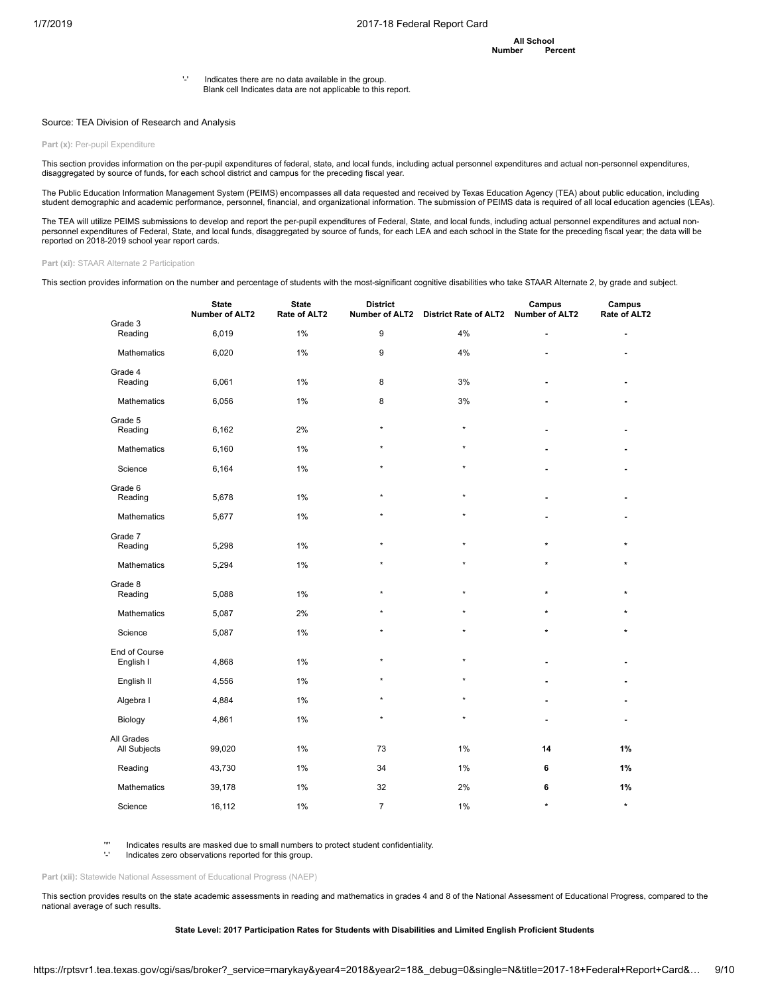**All School Number Percent**

'-' Indicates there are no data available in the group. Blank cell Indicates data are not applicable to this report.

#### Source: TEA Division of Research and Analysis

Part (x): Per-pupil Expenditure

This section provides information on the per-pupil expenditures of federal, state, and local funds, including actual personnel expenditures and actual non-personnel expenditures, disaggregated by source of funds, for each school district and campus for the preceding fiscal year.

The Public Education Information Management System (PEIMS) encompasses all data requested and received by Texas Education Agency (TEA) about public education, including student demographic and academic performance, personnel, financial, and organizational information. The submission of PEIMS data is required of all local education agencies (LEAs).

The TEA will utilize PEIMS submissions to develop and report the per-pupil expenditures of Federal, State, and local funds, including actual personnel expenditures and actual nonpersonnel expenditures of Federal, State, and local funds, disaggregated by source of funds, for each LEA and each school in the State for the preceding fiscal year; the data will be reported on 2018-2019 school year report cards.

#### **Part (xi):** STAAR Alternate 2 Participation

This section provides information on the number and percentage of students with the most-significant cognitive disabilities who take STAAR Alternate 2, by grade and subject.

| Grade 3                    | <b>State</b><br><b>Number of ALT2</b> | <b>State</b><br>Rate of ALT2 | <b>District</b><br>Number of ALT2 | <b>District Rate of ALT2</b> | Campus<br><b>Number of ALT2</b> | Campus<br>Rate of ALT2 |
|----------------------------|---------------------------------------|------------------------------|-----------------------------------|------------------------------|---------------------------------|------------------------|
| Reading                    | 6,019                                 | 1%                           | 9                                 | 4%                           | ٠                               |                        |
| Mathematics                | 6,020                                 | $1\%$                        | 9                                 | 4%                           |                                 |                        |
| Grade 4<br>Reading         | 6,061                                 | $1\%$                        | 8                                 | 3%                           |                                 |                        |
| Mathematics                | 6,056                                 | 1%                           | 8                                 | 3%                           |                                 |                        |
| Grade 5<br>Reading         | 6,162                                 | 2%                           | $^\star$                          | $\star$                      |                                 |                        |
| Mathematics                | 6,160                                 | 1%                           | ÷                                 | ÷                            |                                 |                        |
| Science                    | 6,164                                 | 1%                           | $\star$                           | $\star$                      |                                 |                        |
| Grade 6<br>Reading         | 5,678                                 | 1%                           | $\star$                           | $\star$                      |                                 |                        |
| Mathematics                | 5,677                                 | $1\%$                        | $\star$                           | $\star$                      |                                 |                        |
| Grade 7<br>Reading         | 5,298                                 | 1%                           | $\star$                           | $\star$                      | $\star$                         | ٠                      |
| Mathematics                | 5,294                                 | 1%                           | ÷                                 | $\star$                      | $\star$                         |                        |
| Grade 8<br>Reading         | 5,088                                 | 1%                           | $\star$                           | $\star$                      | $\star$                         | $\star$                |
| Mathematics                | 5,087                                 | 2%                           |                                   | ÷                            | $\star$                         |                        |
| Science                    | 5,087                                 | 1%                           | $\star$                           | $\star$                      | $\star$                         | $\star$                |
| End of Course<br>English I | 4,868                                 | 1%                           | $\star$                           | $\star$                      |                                 |                        |
| English II                 | 4,556                                 | 1%                           | ÷                                 | $\star$                      |                                 |                        |
| Algebra I                  | 4,884                                 | $1\%$                        |                                   | ÷                            |                                 |                        |
| Biology                    | 4,861                                 | $1\%$                        | $\star$                           | $\star$                      |                                 |                        |
| All Grades<br>All Subjects | 99,020                                | $1\%$                        | 73                                | 1%                           | 14                              | 1%                     |
| Reading                    | 43,730                                | 1%                           | 34                                | 1%                           | 6                               | 1%                     |
| <b>Mathematics</b>         | 39,178                                | $1\%$                        | 32                                | 2%                           | 6                               | 1%                     |
| Science                    | 16,112                                | 1%                           | $\overline{7}$                    | 1%                           | $\star$                         | $\star$                |

'\*' Indicates results are masked due to small numbers to protect student confidentiality.

Indicates zero observations reported for this group.

Part (xii): Statewide National Assessment of Educational Progress (NAEP)

This section provides results on the state academic assessments in reading and mathematics in grades 4 and 8 of the National Assessment of Educational Progress, compared to the national average of such results.

**State Level: 2017 Participation Rates for Students with Disabilities and Limited English Proficient Students**